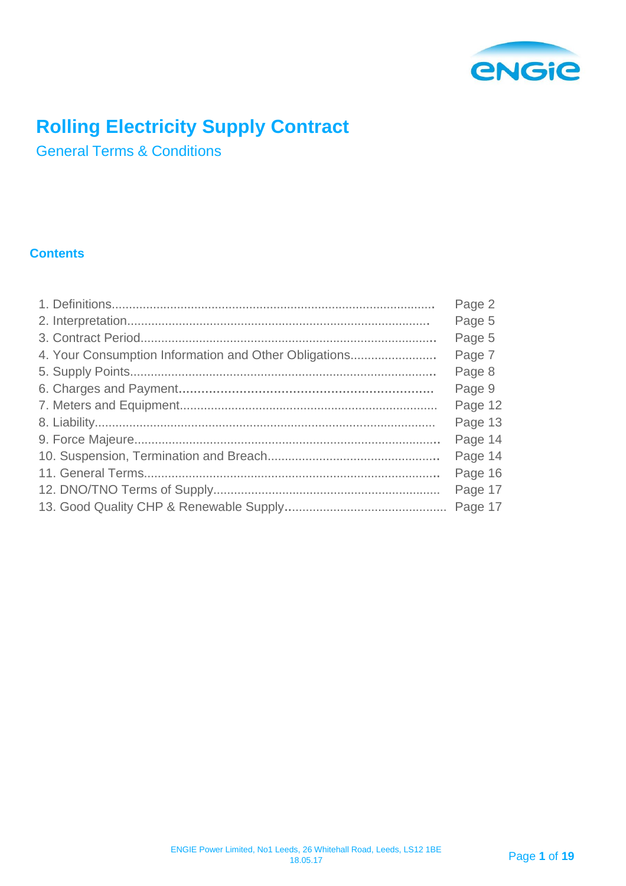

# **Rolling Electricity Supply Contract**

General Terms & Conditions

# **Contents**

|                                                       | Page 2  |
|-------------------------------------------------------|---------|
|                                                       | Page 5  |
|                                                       | Page 5  |
| 4. Your Consumption Information and Other Obligations | Page 7  |
|                                                       | Page 8  |
|                                                       | Page 9  |
|                                                       | Page 12 |
|                                                       | Page 13 |
|                                                       | Page 14 |
|                                                       | Page 14 |
|                                                       | Page 16 |
|                                                       | Page 17 |
|                                                       |         |
|                                                       |         |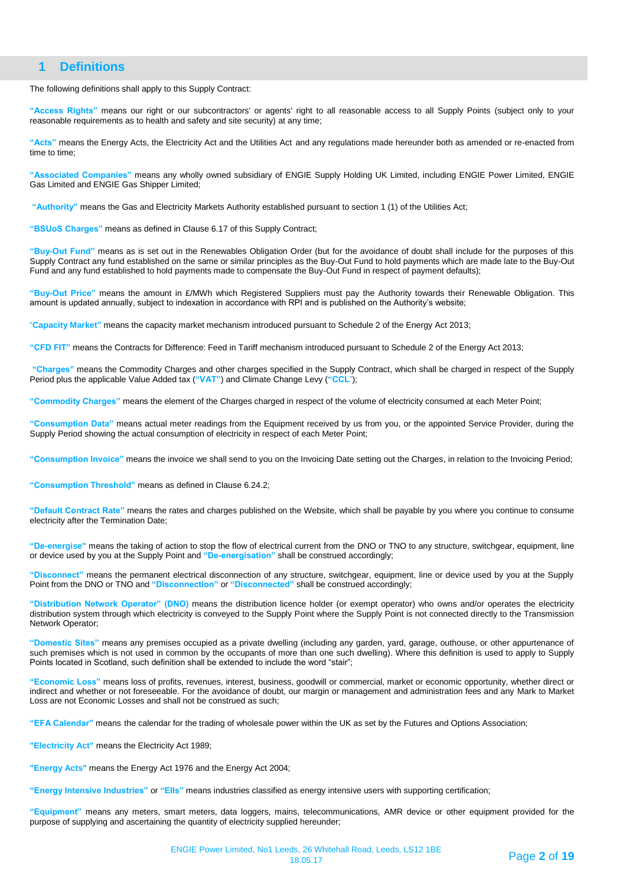# **1 Definitions**

The following definitions shall apply to this Supply Contract:

**"Access Rights"** means our right or our subcontractors' or agents' right to all reasonable access to all Supply Points (subject only to your reasonable requirements as to health and safety and site security) at any time;

**"Acts"** means the Energy Acts, the Electricity Act and the Utilities Act and any regulations made hereunder both as amended or re-enacted from time to time;

**"Associated Companies"** means any wholly owned subsidiary of ENGIE Supply Holding UK Limited, including ENGIE Power Limited, ENGIE Gas Limited and ENGIE Gas Shipper Limited;

**"Authority"** means the Gas and Electricity Markets Authority established pursuant to section 1 (1) of the Utilities Act;

**"BSUoS Charges"** means as defined in Clause 6.17 of this Supply Contract;

**"Buy-Out Fund"** means as is set out in the Renewables Obligation Order (but for the avoidance of doubt shall include for the purposes of this Supply Contract any fund established on the same or similar principles as the Buy-Out Fund to hold payments which are made late to the Buy-Out Fund and any fund established to hold payments made to compensate the Buy-Out Fund in respect of payment defaults);

**"Buy-Out Price"** means the amount in £/MWh which Registered Suppliers must pay the Authority towards their Renewable Obligation. This amount is updated annually, subject to indexation in accordance with RPI and is published on the Authority's website;

"**Capacity Market"** means the capacity market mechanism introduced pursuant to Schedule 2 of the Energy Act 2013;

**"CFD FIT"** means the Contracts for Difference: Feed in Tariff mechanism introduced pursuant to Schedule 2 of the Energy Act 2013;

**"Charges"** means the Commodity Charges and other charges specified in the Supply Contract, which shall be charged in respect of the Supply Period plus the applicable Value Added tax (**"VAT"**) and Climate Change Levy (**"CCL**");

**"Commodity Charges"** means the element of the Charges charged in respect of the volume of electricity consumed at each Meter Point;

**"Consumption Data"** means actual meter readings from the Equipment received by us from you, or the appointed Service Provider, during the Supply Period showing the actual consumption of electricity in respect of each Meter Point;

**"Consumption Invoice"** means the invoice we shall send to you on the Invoicing Date setting out the Charges, in relation to the Invoicing Period;

**"Consumption Threshold"** means as defined in Clause 6.24.2;

**"Default Contract Rate"** means the rates and charges published on the Website, which shall be payable by you where you continue to consume electricity after the Termination Date;

**"De-energise"** means the taking of action to stop the flow of electrical current from the DNO or TNO to any structure, switchgear, equipment, line or device used by you at the Supply Point and **"De-energisation"** shall be construed accordingly;

**"Disconnect"** means the permanent electrical disconnection of any structure, switchgear, equipment, line or device used by you at the Supply Point from the DNO or TNO and **"Disconnection"** or **"Disconnected"** shall be construed accordingly;

**"Distribution Network Operator" (DNO)** means the distribution licence holder (or exempt operator) who owns and/or operates the electricity distribution system through which electricity is conveyed to the Supply Point where the Supply Point is not connected directly to the Transmission Network Operator;

**"Domestic Sites"** means any premises occupied as a private dwelling (including any garden, yard, garage, outhouse, or other appurtenance of such premises which is not used in common by the occupants of more than one such dwelling). Where this definition is used to apply to Supply Points located in Scotland, such definition shall be extended to include the word "stair";

**"Economic Loss"** means loss of profits, revenues, interest, business, goodwill or commercial, market or economic opportunity, whether direct or indirect and whether or not foreseeable. For the avoidance of doubt, our margin or management and administration fees and any Mark to Market Loss are not Economic Losses and shall not be construed as such;

**"EFA Calendar"** means the calendar for the trading of wholesale power within the UK as set by the Futures and Options Association;

**"Electricity Act"** means the Electricity Act 1989;

**"Energy Acts"** means the Energy Act 1976 and the Energy Act 2004;

**"Energy Intensive Industries"** or **"EIIs"** means industries classified as energy intensive users with supporting certification;

**"Equipment"** means any meters, smart meters, data loggers, mains, telecommunications, AMR device or other equipment provided for the purpose of supplying and ascertaining the quantity of electricity supplied hereunder;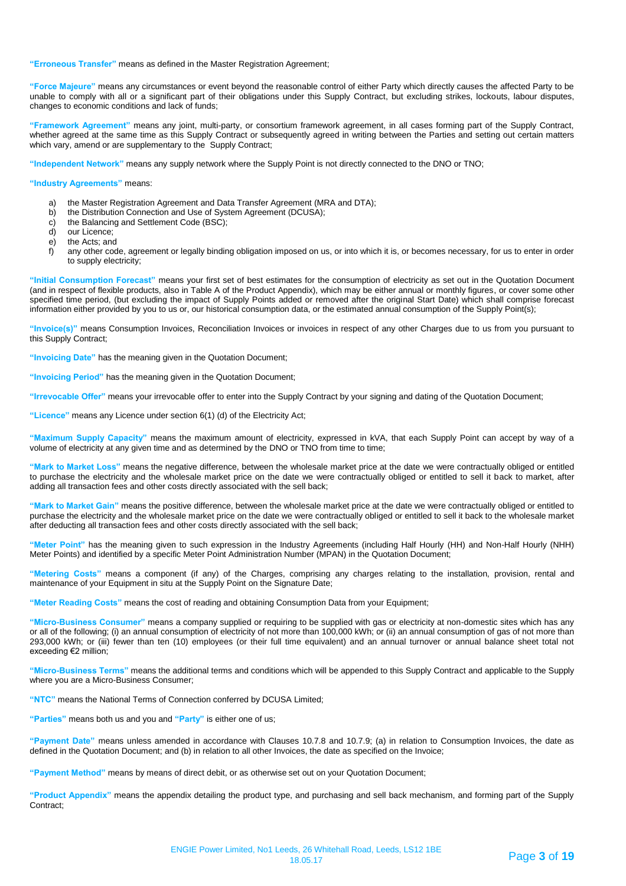#### **"Erroneous Transfer"** means as defined in the Master Registration Agreement;

**"Force Majeure"** means any circumstances or event beyond the reasonable control of either Party which directly causes the affected Party to be unable to comply with all or a significant part of their obligations under this Supply Contract, but excluding strikes, lockouts, labour disputes, changes to economic conditions and lack of funds;

**"Framework Agreement"** means any joint, multi-party, or consortium framework agreement, in all cases forming part of the Supply Contract, whether agreed at the same time as this Supply Contract or subsequently agreed in writing between the Parties and setting out certain matters which vary, amend or are supplementary to the Supply Contract;

**"Independent Network"** means any supply network where the Supply Point is not directly connected to the DNO or TNO;

#### **"Industry Agreements"** means:

- a) the Master Registration Agreement and Data Transfer Agreement (MRA and DTA);<br>b) the Distribution Connection and Use of System Agreement (DCUSA);
- the Distribution Connection and Use of System Agreement (DCUSA);
- c) the Balancing and Settlement Code (BSC);
- d) our Licence;
- e) the Acts; and<br>f) any other coor
- any other code, agreement or legally binding obligation imposed on us, or into which it is, or becomes necessary, for us to enter in order to supply electricity;

**"Initial Consumption Forecast"** means your first set of best estimates for the consumption of electricity as set out in the Quotation Document (and in respect of flexible products, also in Table A of the Product Appendix), which may be either annual or monthly figures, or cover some other specified time period, (but excluding the impact of Supply Points added or removed after the original Start Date) which shall comprise forecast information either provided by you to us or, our historical consumption data, or the estimated annual consumption of the Supply Point(s);

**"Invoice(s)"** means Consumption Invoices, Reconciliation Invoices or invoices in respect of any other Charges due to us from you pursuant to this Supply Contract;

**"Invoicing Date"** has the meaning given in the Quotation Document;

**"Invoicing Period"** has the meaning given in the Quotation Document;

**"Irrevocable Offer"** means your irrevocable offer to enter into the Supply Contract by your signing and dating of the Quotation Document;

**"Licence"** means any Licence under section 6(1) (d) of the Electricity Act;

**"Maximum Supply Capacity"** means the maximum amount of electricity, expressed in kVA, that each Supply Point can accept by way of a volume of electricity at any given time and as determined by the DNO or TNO from time to time;

**"Mark to Market Loss"** means the negative difference, between the wholesale market price at the date we were contractually obliged or entitled to purchase the electricity and the wholesale market price on the date we were contractually obliged or entitled to sell it back to market, after adding all transaction fees and other costs directly associated with the sell back;

**"Mark to Market Gain"** means the positive difference, between the wholesale market price at the date we were contractually obliged or entitled to purchase the electricity and the wholesale market price on the date we were contractually obliged or entitled to sell it back to the wholesale market after deducting all transaction fees and other costs directly associated with the sell back;

**"Meter Point"** has the meaning given to such expression in the Industry Agreements (including Half Hourly (HH) and Non-Half Hourly (NHH) Meter Points) and identified by a specific Meter Point Administration Number (MPAN) in the Quotation Document;

**"Metering Costs"** means a component (if any) of the Charges, comprising any charges relating to the installation, provision, rental and maintenance of your Equipment in situ at the Supply Point on the Signature Date;

**"Meter Reading Costs"** means the cost of reading and obtaining Consumption Data from your Equipment;

**"Micro-Business Consumer"** means a company supplied or requiring to be supplied with gas or electricity at non-domestic sites which has any or all of the following; (i) an annual consumption of electricity of not more than 100,000 kWh; or (ii) an annual consumption of gas of not more than 293,000 kWh; or (iii) fewer than ten (10) employees (or their full time equivalent) and an annual turnover or annual balance sheet total not exceeding €2 million;

**"Micro-Business Terms"** means the additional terms and conditions which will be appended to this Supply Contract and applicable to the Supply where you are a Micro-Business Consumer;

**"NTC"** means the National Terms of Connection conferred by DCUSA Limited;

**"Parties"** means both us and you and **"Party"** is either one of us;

**"Payment Date"** means unless amended in accordance with Clauses 10.7.8 and 10.7.9; (a) in relation to Consumption Invoices, the date as defined in the Quotation Document; and (b) in relation to all other Invoices, the date as specified on the Invoice;

**"Payment Method"** means by means of direct debit, or as otherwise set out on your Quotation Document;

**"Product Appendix"** means the appendix detailing the product type, and purchasing and sell back mechanism, and forming part of the Supply Contract;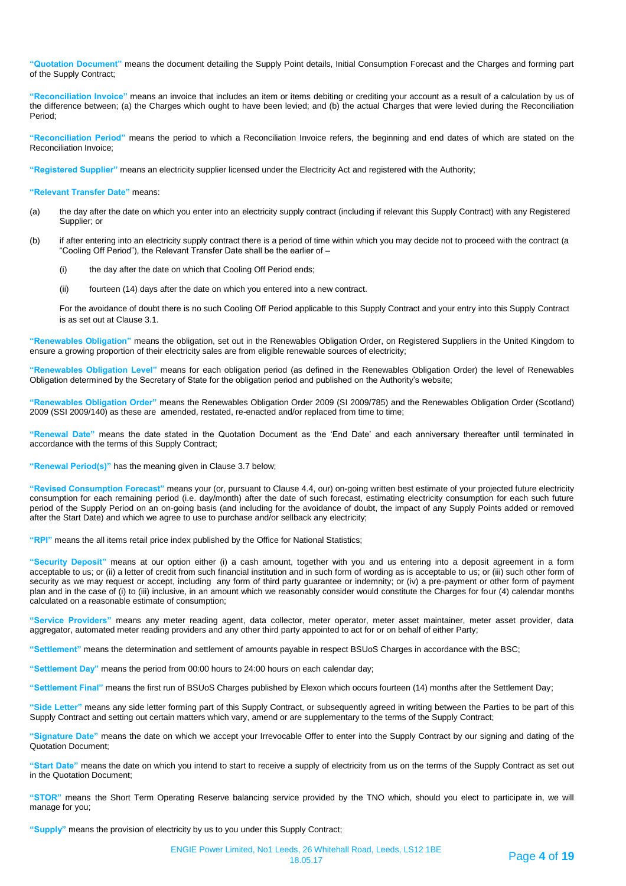**"Quotation Document"** means the document detailing the Supply Point details, Initial Consumption Forecast and the Charges and forming part of the Supply Contract;

**"Reconciliation Invoice"** means an invoice that includes an item or items debiting or crediting your account as a result of a calculation by us of the difference between; (a) the Charges which ought to have been levied; and (b) the actual Charges that were levied during the Reconciliation Period;

**"Reconciliation Period"** means the period to which a Reconciliation Invoice refers, the beginning and end dates of which are stated on the Reconciliation Invoice;

**"Registered Supplier"** means an electricity supplier licensed under the Electricity Act and registered with the Authority;

**"Relevant Transfer Date"** means:

- (a) the day after the date on which you enter into an electricity supply contract (including if relevant this Supply Contract) with any Registered Supplier; or
- (b) if after entering into an electricity supply contract there is a period of time within which you may decide not to proceed with the contract (a "Cooling Off Period"), the Relevant Transfer Date shall be the earlier of –
	- (i) the day after the date on which that Cooling Off Period ends;
	- (ii) fourteen (14) days after the date on which you entered into a new contract.

For the avoidance of doubt there is no such Cooling Off Period applicable to this Supply Contract and your entry into this Supply Contract is as set out at Clause 3.1.

**"Renewables Obligation"** means the obligation, set out in the Renewables Obligation Order, on Registered Suppliers in the United Kingdom to ensure a growing proportion of their electricity sales are from eligible renewable sources of electricity;

**"Renewables Obligation Level"** means for each obligation period (as defined in the Renewables Obligation Order) the level of Renewables Obligation determined by the Secretary of State for the obligation period and published on the Authority's website;

**"Renewables Obligation Order"** means the Renewables Obligation Order 2009 (SI 2009/785) and the Renewables Obligation Order (Scotland) 2009 (SSI 2009/140) as these are amended, restated, re-enacted and/or replaced from time to time;

**"Renewal Date"** means the date stated in the Quotation Document as the 'End Date' and each anniversary thereafter until terminated in accordance with the terms of this Supply Contract;

**"Renewal Period(s)"** has the meaning given in Clause 3.7 below;

**"Revised Consumption Forecast"** means your (or, pursuant to Clause 4.4, our) on-going written best estimate of your projected future electricity consumption for each remaining period (i.e. day/month) after the date of such forecast, estimating electricity consumption for each such future period of the Supply Period on an on-going basis (and including for the avoidance of doubt, the impact of any Supply Points added or removed after the Start Date) and which we agree to use to purchase and/or sellback any electricity;

**"RPI"** means the all items retail price index published by the Office for National Statistics;

**"Security Deposit"** means at our option either (i) a cash amount, together with you and us entering into a deposit agreement in a form acceptable to us; or (ii) a letter of credit from such financial institution and in such form of wording as is acceptable to us; or (iii) such other form of security as we may request or accept, including any form of third party guarantee or indemnity; or (iv) a pre-payment or other form of payment plan and in the case of (i) to (iii) inclusive, in an amount which we reasonably consider would constitute the Charges for four (4) calendar months calculated on a reasonable estimate of consumption;

**"Service Providers"** means any meter reading agent, data collector, meter operator, meter asset maintainer, meter asset provider, data aggregator, automated meter reading providers and any other third party appointed to act for or on behalf of either Party;

**"Settlement"** means the determination and settlement of amounts payable in respect BSUoS Charges in accordance with the BSC;

**"Settlement Day"** means the period from 00:00 hours to 24:00 hours on each calendar day;

**"Settlement Final"** means the first run of BSUoS Charges published by Elexon which occurs fourteen (14) months after the Settlement Day;

**"Side Letter"** means any side letter forming part of this Supply Contract, or subsequently agreed in writing between the Parties to be part of this Supply Contract and setting out certain matters which vary, amend or are supplementary to the terms of the Supply Contract;

**"Signature Date"** means the date on which we accept your Irrevocable Offer to enter into the Supply Contract by our signing and dating of the Quotation Document;

**"Start Date"** means the date on which you intend to start to receive a supply of electricity from us on the terms of the Supply Contract as set out in the Quotation Document;

**"STOR"** means the Short Term Operating Reserve balancing service provided by the TNO which, should you elect to participate in, we will manage for you;

**"Supply"** means the provision of electricity by us to you under this Supply Contract;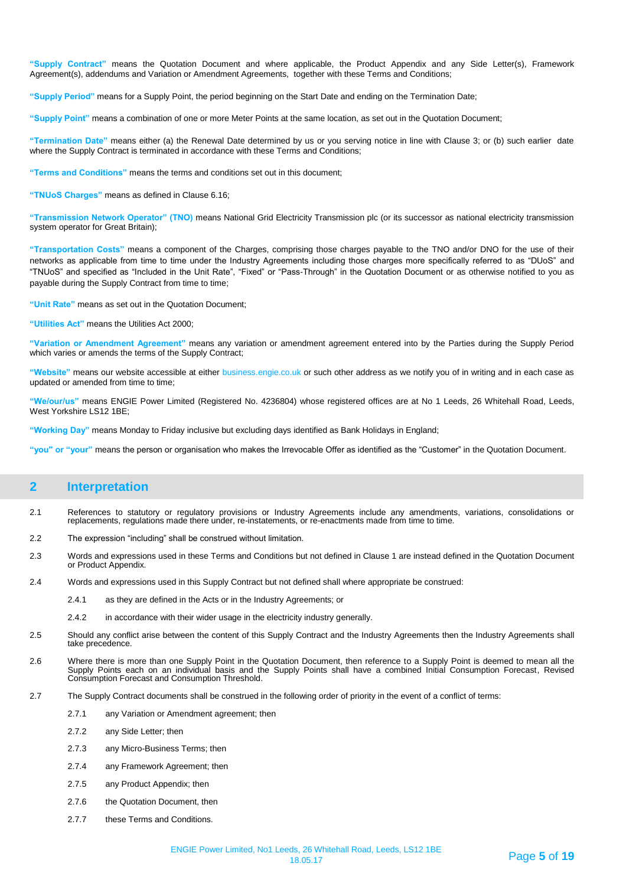**"Supply Contract"** means the Quotation Document and where applicable, the Product Appendix and any Side Letter(s), Framework Agreement(s), addendums and Variation or Amendment Agreements, together with these Terms and Conditions;

**"Supply Period"** means for a Supply Point, the period beginning on the Start Date and ending on the Termination Date;

**"Supply Point"** means a combination of one or more Meter Points at the same location, as set out in the Quotation Document;

**"Termination Date"** means either (a) the Renewal Date determined by us or you serving notice in line with Clause 3; or (b) such earlier date where the Supply Contract is terminated in accordance with these Terms and Conditions;

**"Terms and Conditions"** means the terms and conditions set out in this document;

**"TNUoS Charges"** means as defined in Clause 6.16;

**"Transmission Network Operator" (TNO)** means National Grid Electricity Transmission plc (or its successor as national electricity transmission system operator for Great Britain);

**"Transportation Costs"** means a component of the Charges, comprising those charges payable to the TNO and/or DNO for the use of their networks as applicable from time to time under the Industry Agreements including those charges more specifically referred to as "DUoS" and "TNUoS" and specified as "Included in the Unit Rate", "Fixed" or "Pass-Through" in the Quotation Document or as otherwise notified to you as payable during the Supply Contract from time to time;

**"Unit Rate"** means as set out in the Quotation Document;

**"Utilities Act"** means the Utilities Act 2000;

**"Variation or Amendment Agreement"** means any variation or amendment agreement entered into by the Parties during the Supply Period which varies or amends the terms of the Supply Contract;

**"Website"** means our website accessible at either business.engie.co.uk or such other address as we notify you of in writing and in each case as updated or amended from time to time;

**"We/our/us"** means ENGIE Power Limited (Registered No. 4236804) whose registered offices are at No 1 Leeds, 26 Whitehall Road, Leeds, West Yorkshire LS12 1BE;

**"Working Day"** means Monday to Friday inclusive but excluding days identified as Bank Holidays in England;

**"you" or "your"** means the person or organisation who makes the Irrevocable Offer as identified as the "Customer" in the Quotation Document.

# **2 Interpretation**

- 2.1 References to statutory or regulatory provisions or Industry Agreements include any amendments, variations, consolidations or replacements, regulations made there under, re-instatements, or re-enactments made from time to time.
- 2.2 The expression "including" shall be construed without limitation.
- 2.3 Words and expressions used in these Terms and Conditions but not defined in Clause 1 are instead defined in the Quotation Document or Product Appendix.
- 2.4 Words and expressions used in this Supply Contract but not defined shall where appropriate be construed:
	- 2.4.1 as they are defined in the Acts or in the Industry Agreements; or
	- 2.4.2 in accordance with their wider usage in the electricity industry generally.
- 2.5 Should any conflict arise between the content of this Supply Contract and the Industry Agreements then the Industry Agreements shall take precedence.
- 2.6 Where there is more than one Supply Point in the Quotation Document, then reference to a Supply Point is deemed to mean all the Supply Points each on an individual basis and the Supply Points shall have a combined Initial Consumption Forecast, Revised Consumption Forecast and Consumption Threshold.
- 2.7 The Supply Contract documents shall be construed in the following order of priority in the event of a conflict of terms:
	- 2.7.1 any Variation or Amendment agreement; then
	- 2.7.2 any Side Letter; then
	- 2.7.3 any Micro-Business Terms; then
	- 2.7.4 any Framework Agreement; then
	- 2.7.5 any Product Appendix; then
	- 2.7.6 the Quotation Document, then
	- 2.7.7 these Terms and Conditions.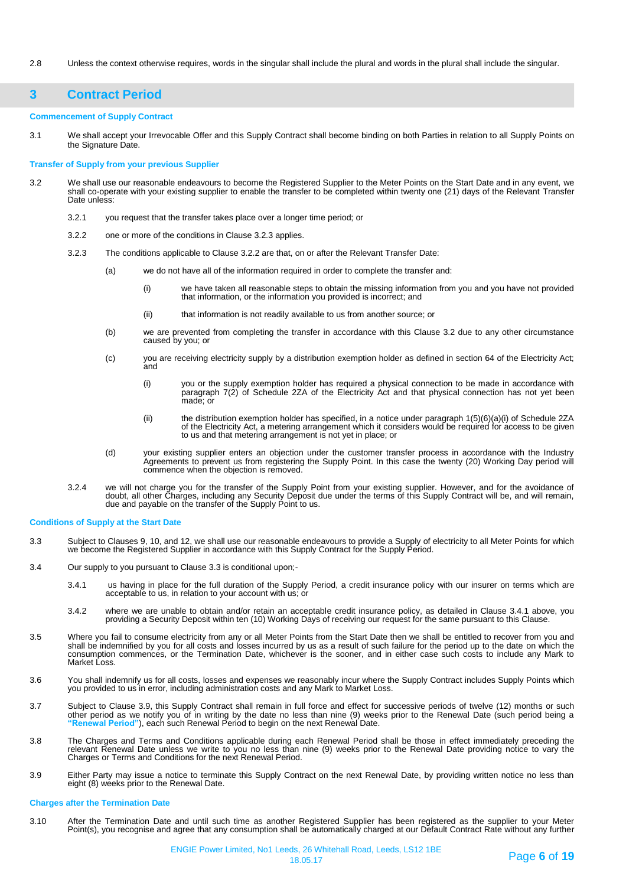2.8 Unless the context otherwise requires, words in the singular shall include the plural and words in the plural shall include the singular.

# **3 Contract Period**

#### **Commencement of Supply Contract**

3.1 We shall accept your Irrevocable Offer and this Supply Contract shall become binding on both Parties in relation to all Supply Points on the Signature Date.

#### **Transfer of Supply from your previous Supplier**

- 3.2 We shall use our reasonable endeavours to become the Registered Supplier to the Meter Points on the Start Date and in any event, we shall co-operate with your existing supplier to enable the transfer to be completed within twenty one (21) days of the Relevant Transfer Date unless:
	- 3.2.1 you request that the transfer takes place over a longer time period; or
	- 3.2.2 one or more of the conditions in Clause 3.2.3 applies.
	- 3.2.3 The conditions applicable to Clause 3.2.2 are that, on or after the Relevant Transfer Date:
		- (a) we do not have all of the information required in order to complete the transfer and:
			- (i) we have taken all reasonable steps to obtain the missing information from you and you have not provided that information, or the information you provided is incorrect; and
			- (ii) that information is not readily available to us from another source; or
		- (b) we are prevented from completing the transfer in accordance with this Clause 3.2 due to any other circumstance caused by you; or
		- (c) you are receiving electricity supply by a distribution exemption holder as defined in section 64 of the Electricity Act; and
			- (i) you or the supply exemption holder has required a physical connection to be made in accordance with paragraph 7(2) of Schedule 2ZA of the Electricity Act and that physical connection has not yet been made; or
			- (ii) the distribution exemption holder has specified, in a notice under paragraph 1(5)(6)(a)(i) of Schedule 2ZA of the Electricity Act, a metering arrangement which it considers would be required for access to be given to us and that metering arrangement is not yet in place; or
		- (d) your existing supplier enters an objection under the customer transfer process in accordance with the Industry Agreements to prevent us from registering the Supply Point. In this case the twenty (20) Working Day period will commence when the objection is removed.
	- 3.2.4 we will not charge you for the transfer of the Supply Point from your existing supplier. However, and for the avoidance of doubt, all other Charges, including any Security Deposit due under the terms of this Supply Contract will be, and will remain, due and payable on the transfer of the Supply Point to us.

#### **Conditions of Supply at the Start Date**

- 3.3 Subject to Clauses 9, 10, and 12, we shall use our reasonable endeavours to provide a Supply of electricity to all Meter Points for which we become the Registered Supplier in accordance with this Supply Contract for the Supply Period.
- 3.4 Our supply to you pursuant to Clause 3.3 is conditional upon;-
	- 3.4.1 us having in place for the full duration of the Supply Period, a credit insurance policy with our insurer on terms which are acceptable to us, in relation to your account with us; or
	- 3.4.2 where we are unable to obtain and/or retain an acceptable credit insurance policy, as detailed in Clause 3.4.1 above, you providing a Security Deposit within ten (10) Working Days of receiving our request for the same pursuant to this Clause.
- 3.5 Where you fail to consume electricity from any or all Meter Points from the Start Date then we shall be entitled to recover from you and shall be indemnified by you for all costs and losses incurred by us as a result of such failure for the period up to the date on which the consumption commences, or the Termination Date, whichever is the sooner, and in either case such costs to include any Mark to Market Loss.
- 3.6 You shall indemnify us for all costs, losses and expenses we reasonably incur where the Supply Contract includes Supply Points which you provided to us in error, including administration costs and any Mark to Market Loss.
- 3.7 Subject to Clause 3.9, this Supply Contract shall remain in full force and effect for successive periods of twelve (12) months or such other period as we notify you of in writing by the date no less than nine (9) weeks prior to the Renewal Date (such period being a **"Renewal Period"**), each such Renewal Period to begin on the next Renewal Date.
- 3.8 The Charges and Terms and Conditions applicable during each Renewal Period shall be those in effect immediately preceding the relevant Renewal Date unless we write to you no less than nine (9) weeks prior to the Renewal Date providing notice to vary the Charges or Terms and Conditions for the next Renewal Period.
- 3.9 Either Party may issue a notice to terminate this Supply Contract on the next Renewal Date, by providing written notice no less than eight (8) weeks prior to the Renewal Date.

#### **Charges after the Termination Date**

3.10 After the Termination Date and until such time as another Registered Supplier has been registered as the supplier to your Meter Point(s), you recognise and agree that any consumption shall be automatically charged at our Default Contract Rate without any further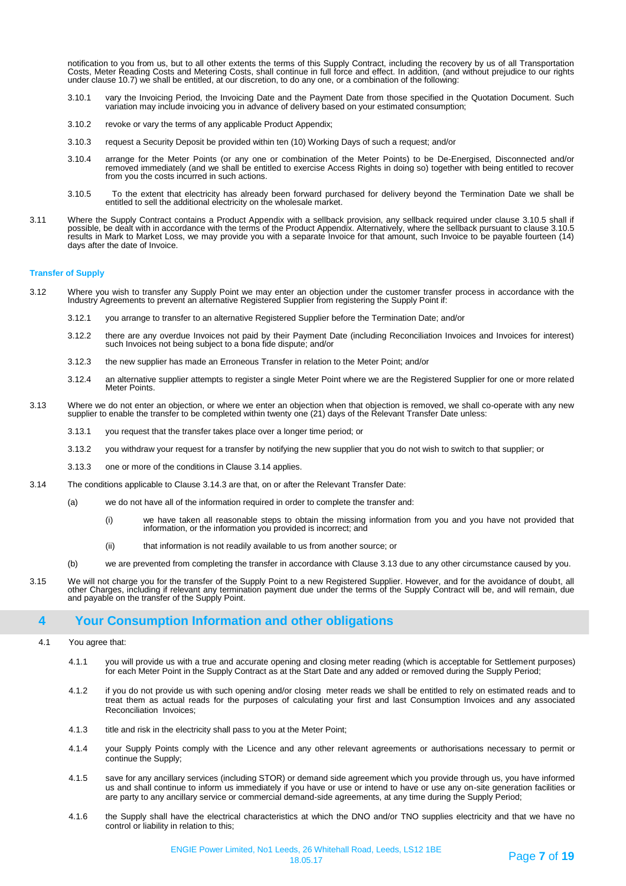notification to you from us, but to all other extents the terms of this Supply Contract, including the recovery by us of all Transportation Costs, Meter Reading Costs and Metering Costs, shall continue in full force and effect. In addition, (and without prejudice to our rights<br>under clause 10.7) we shall be entitled, at our discretion, to do any one, or a comb

- 3.10.1 vary the Invoicing Period, the Invoicing Date and the Payment Date from those specified in the Quotation Document. Such variation may include invoicing you in advance of delivery based on your estimated consumption;
- 3.10.2 revoke or vary the terms of any applicable Product Appendix;
- 3.10.3 request a Security Deposit be provided within ten (10) Working Days of such a request; and/or
- 3.10.4 arrange for the Meter Points (or any one or combination of the Meter Points) to be De-Energised, Disconnected and/or removed immediately (and we shall be entitled to exercise Access Rights in doing so) together with being entitled to recover from you the costs incurred in such actions.
- 3.10.5 To the extent that electricity has already been forward purchased for delivery beyond the Termination Date we shall be entitled to sell the additional electricity on the wholesale market.
- 3.11 Where the Supply Contract contains a Product Appendix with a sellback provision, any sellback required under clause 3.10.5 shall if possible, be dealt with in accordance with the terms of the Product Appendix. Alternatively, where the sellback pursuant to clause 3.10.5<br>results in Mark to Market Loss, we may provide you with a separate Invoice for that days after the date of Invoice.

#### **Transfer of Supply**

- 3.12 Where you wish to transfer any Supply Point we may enter an objection under the customer transfer process in accordance with the Industry Agreements to prevent an alternative Registered Supplier from registering the Supply Point if:
	- 3.12.1 you arrange to transfer to an alternative Registered Supplier before the Termination Date; and/or
	- 3.12.2 there are any overdue Invoices not paid by their Payment Date (including Reconciliation Invoices and Invoices for interest) such Invoices not being subject to a bona fide dispute; and/or
	- 3.12.3 the new supplier has made an Erroneous Transfer in relation to the Meter Point; and/or
	- 3.12.4 an alternative supplier attempts to register a single Meter Point where we are the Registered Supplier for one or more related Meter Points.
- 3.13 Where we do not enter an objection, or where we enter an objection when that objection is removed, we shall co-operate with any new supplier to enable the transfer to be completed within twenty one (21) days of the Relevant Transfer Date unless:
	- 3.13.1 you request that the transfer takes place over a longer time period; or
	- 3.13.2 you withdraw your request for a transfer by notifying the new supplier that you do not wish to switch to that supplier; or
	- 3.13.3 one or more of the conditions in Clause 3.14 applies.
- 3.14 The conditions applicable to Clause 3.14.3 are that, on or after the Relevant Transfer Date:
	- (a) we do not have all of the information required in order to complete the transfer and:
		- (i) we have taken all reasonable steps to obtain the missing information from you and you have not provided that information, or the information you provided is incorrect; and
		- (ii) that information is not readily available to us from another source; or
	- (b) we are prevented from completing the transfer in accordance with Clause 3.13 due to any other circumstance caused by you.
- 3.15 We will not charge you for the transfer of the Supply Point to a new Registered Supplier. However, and for the avoidance of doubt, all other Charges, including if relevant any termination payment due under the terms of the Supply Contract will be, and will remain, due and payable on the transfer of the Supply Point.

### **4 Your Consumption Information and other obligations**

- 4.1 You agree that:
	- 4.1.1 you will provide us with a true and accurate opening and closing meter reading (which is acceptable for Settlement purposes) for each Meter Point in the Supply Contract as at the Start Date and any added or removed during the Supply Period;
	- 4.1.2 if you do not provide us with such opening and/or closing meter reads we shall be entitled to rely on estimated reads and to treat them as actual reads for the purposes of calculating your first and last Consumption Invoices and any associated Reconciliation Invoices;
	- 4.1.3 title and risk in the electricity shall pass to you at the Meter Point;
	- 4.1.4 your Supply Points comply with the Licence and any other relevant agreements or authorisations necessary to permit or continue the Supply;
	- 4.1.5 save for any ancillary services (including STOR) or demand side agreement which you provide through us, you have informed us and shall continue to inform us immediately if you have or use or intend to have or use any on-site generation facilities or are party to any ancillary service or commercial demand-side agreements, at any time during the Supply Period;
	- 4.1.6 the Supply shall have the electrical characteristics at which the DNO and/or TNO supplies electricity and that we have no control or liability in relation to this;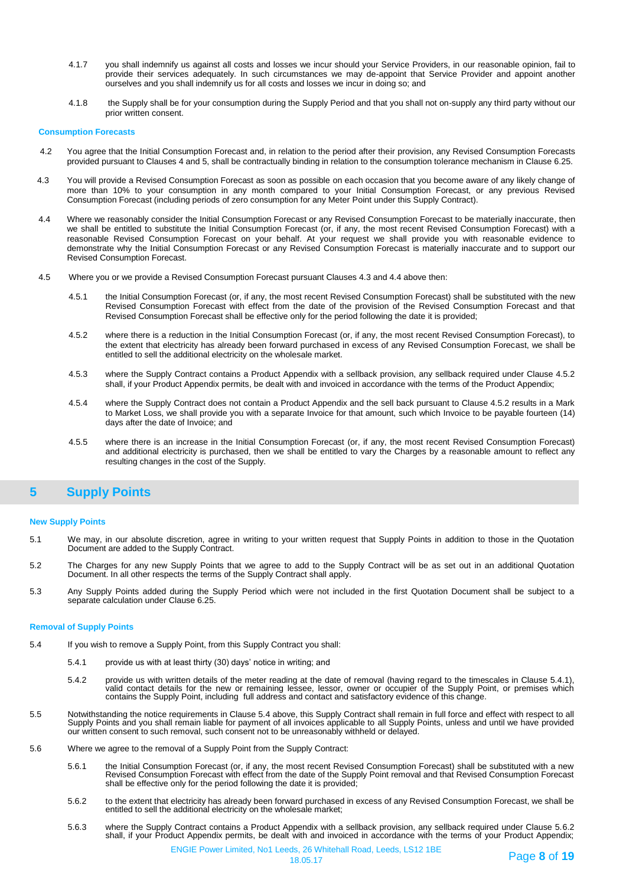- 4.1.7 you shall indemnify us against all costs and losses we incur should your Service Providers, in our reasonable opinion, fail to provide their services adequately. In such circumstances we may de-appoint that Service Provider and appoint another ourselves and you shall indemnify us for all costs and losses we incur in doing so; and
- 4.1.8 the Supply shall be for your consumption during the Supply Period and that you shall not on-supply any third party without our prior written consent.

#### **Consumption Forecasts**

- 4.2 You agree that the Initial Consumption Forecast and, in relation to the period after their provision, any Revised Consumption Forecasts provided pursuant to Clauses 4 and 5, shall be contractually binding in relation to the consumption tolerance mechanism in Clause 6.25.
- 4.3 You will provide a Revised Consumption Forecast as soon as possible on each occasion that you become aware of any likely change of more than 10% to your consumption in any month compared to your Initial Consumption Forecast, or any previous Revised Consumption Forecast (including periods of zero consumption for any Meter Point under this Supply Contract).
- 4.4 Where we reasonably consider the Initial Consumption Forecast or any Revised Consumption Forecast to be materially inaccurate, then we shall be entitled to substitute the Initial Consumption Forecast (or, if any, the most recent Revised Consumption Forecast) with a reasonable Revised Consumption Forecast on your behalf. At your request we shall provide you with reasonable evidence to demonstrate why the Initial Consumption Forecast or any Revised Consumption Forecast is materially inaccurate and to support our Revised Consumption Forecast.
- 4.5 Where you or we provide a Revised Consumption Forecast pursuant Clauses 4.3 and 4.4 above then:
	- 4.5.1 the Initial Consumption Forecast (or, if any, the most recent Revised Consumption Forecast) shall be substituted with the new Revised Consumption Forecast with effect from the date of the provision of the Revised Consumption Forecast and that Revised Consumption Forecast shall be effective only for the period following the date it is provided;
	- 4.5.2 where there is a reduction in the Initial Consumption Forecast (or, if any, the most recent Revised Consumption Forecast), to the extent that electricity has already been forward purchased in excess of any Revised Consumption Forecast, we shall be entitled to sell the additional electricity on the wholesale market.
	- 4.5.3 where the Supply Contract contains a Product Appendix with a sellback provision, any sellback required under Clause 4.5.2 shall, if your Product Appendix permits, be dealt with and invoiced in accordance with the terms of the Product Appendix;
	- 4.5.4 where the Supply Contract does not contain a Product Appendix and the sell back pursuant to Clause 4.5.2 results in a Mark to Market Loss, we shall provide you with a separate Invoice for that amount, such which Invoice to be payable fourteen (14) days after the date of Invoice; and
	- 4.5.5 where there is an increase in the Initial Consumption Forecast (or, if any, the most recent Revised Consumption Forecast) and additional electricity is purchased, then we shall be entitled to vary the Charges by a reasonable amount to reflect any resulting changes in the cost of the Supply.

# **5 Supply Points**

#### **New Supply Points**

- 5.1 We may, in our absolute discretion, agree in writing to your written request that Supply Points in addition to those in the Quotation Document are added to the Supply Contract.
- 5.2 The Charges for any new Supply Points that we agree to add to the Supply Contract will be as set out in an additional Quotation Document. In all other respects the terms of the Supply Contract shall apply.
- 5.3 Any Supply Points added during the Supply Period which were not included in the first Quotation Document shall be subject to a separate calculation under Clause 6.25.

### **Removal of Supply Points**

- 5.4 If you wish to remove a Supply Point, from this Supply Contract you shall:
	- 5.4.1 provide us with at least thirty (30) days' notice in writing; and
	- 5.4.2 provide us with written details of the meter reading at the date of removal (having regard to the timescales in Clause 5.4.1), valid contact details for the new or remaining lessee, lessor, owner or occupier of the Supply Point, or premises which contains the Supply Point, including full address and contact and satisfactory evidence of this change.
- 5.5 Notwithstanding the notice requirements in Clause 5.4 above, this Supply Contract shall remain in full force and effect with respect to all Supply Points and you shall remain liable for payment of all invoices applicable to all Supply Points, unless and until we have provided our written consent to such removal, such consent not to be unreasonably withheld or delayed.
- 5.6 Where we agree to the removal of a Supply Point from the Supply Contract:
	- 5.6.1 the Initial Consumption Forecast (or, if any, the most recent Revised Consumption Forecast) shall be substituted with a new Revised Consumption Forecast with effect from the date of the Supply Point removal and that Revised Consumption Forecast shall be effective only for the period following the date it is provided;
	- 5.6.2 to the extent that electricity has already been forward purchased in excess of any Revised Consumption Forecast, we shall be entitled to sell the additional electricity on the wholesale market;
	- 5.6.3 where the Supply Contract contains a Product Appendix with a sellback provision, any sellback required under Clause 5.6.2 shall, if your Product Appendix permits, be dealt with and invoiced in accordance with the terms of your Product Appendix;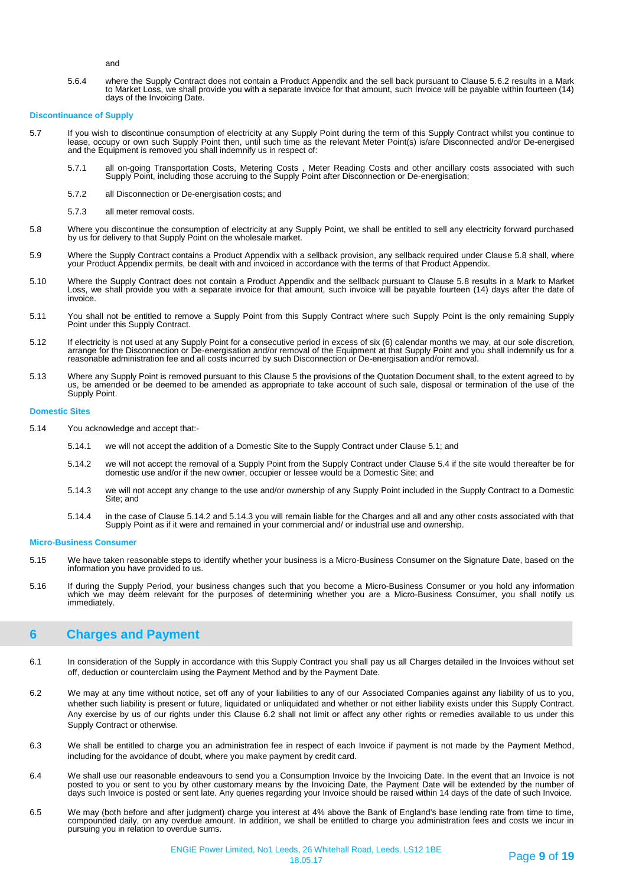and

5.6.4 where the Supply Contract does not contain a Product Appendix and the sell back pursuant to Clause 5.6.2 results in a Mark to Market Loss, we shall provide you with a separate Invoice for that amount, such Invoice will be payable within fourteen (14) days of the Invoicing Date.

#### **Discontinuance of Supply**

- 5.7 If you wish to discontinue consumption of electricity at any Supply Point during the term of this Supply Contract whilst you continue to lease, occupy or own such Supply Point then, until such time as the relevant Meter Point(s) is/are Disconnected and/or De-energised and the Equipment is removed you shall indemnify us in respect of:
	- 5.7.1 all on-going Transportation Costs, Metering Costs , Meter Reading Costs and other ancillary costs associated with such Supply Point, including those accruing to the Supply Point after Disconnection or De-energisation;
	- 5.7.2 all Disconnection or De-energisation costs; and
	- 5.7.3 all meter removal costs.
- 5.8 Where you discontinue the consumption of electricity at any Supply Point, we shall be entitled to sell any electricity forward purchased by us for delivery to that Supply Point on the wholesale market.
- 5.9 Where the Supply Contract contains a Product Appendix with a sellback provision, any sellback required under Clause 5.8 shall, where your Product Appendix permits, be dealt with and invoiced in accordance with the terms of that Product Appendix.
- 5.10 Where the Supply Contract does not contain a Product Appendix and the sellback pursuant to Clause 5.8 results in a Mark to Market Loss, we shall provide you with a separate invoice for that amount, such invoice will be payable fourteen (14) days after the date of invoice.
- 5.11 You shall not be entitled to remove a Supply Point from this Supply Contract where such Supply Point is the only remaining Supply Point under this Supply Contract.
- 5.12 If electricity is not used at any Supply Point for a consecutive period in excess of six (6) calendar months we may, at our sole discretion, arrange for the Disconnection or De-energisation and/or removal of the Equipment at that Supply Point and you shall indemnify us for a reasonable administration fee and all costs incurred by such Disconnection or De-energisation and/or removal.
- 5.13 Where any Supply Point is removed pursuant to this Clause 5 the provisions of the Quotation Document shall, to the extent agreed to by us, be amended or be deemed to be amended as appropriate to take account of such sale, disposal or termination of the use of the Supply Point.

#### **Domestic Sites**

- 5.14 You acknowledge and accept that:-
	- 5.14.1 we will not accept the addition of a Domestic Site to the Supply Contract under Clause 5.1; and
	- 5.14.2 we will not accept the removal of a Supply Point from the Supply Contract under Clause 5.4 if the site would thereafter be for domestic use and/or if the new owner, occupier or lessee would be a Domestic Site; and
	- 5.14.3 we will not accept any change to the use and/or ownership of any Supply Point included in the Supply Contract to a Domestic Site; and
	- 5.14.4 in the case of Clause 5.14.2 and 5.14.3 you will remain liable for the Charges and all and any other costs associated with that Supply Point as if it were and remained in your commercial and/ or industrial use and ownership.

#### **Micro-Business Consumer**

- 5.15 We have taken reasonable steps to identify whether your business is a Micro-Business Consumer on the Signature Date, based on the information you have provided to us.
- 5.16 If during the Supply Period, your business changes such that you become a Micro-Business Consumer or you hold any information which we may deem relevant for the purposes of determining whether you are a Micro-Business Consumer, you shall notify us immediately.

# **6 Charges and Payment**

- 6.1 In consideration of the Supply in accordance with this Supply Contract you shall pay us all Charges detailed in the Invoices without set off, deduction or counterclaim using the Payment Method and by the Payment Date.
- 6.2 We may at any time without notice, set off any of your liabilities to any of our Associated Companies against any liability of us to you, whether such liability is present or future, liquidated or unliquidated and whether or not either liability exists under this Supply Contract. Any exercise by us of our rights under this Clause 6.2 shall not limit or affect any other rights or remedies available to us under this Supply Contract or otherwise.
- 6.3 We shall be entitled to charge you an administration fee in respect of each Invoice if payment is not made by the Payment Method, including for the avoidance of doubt, where you make payment by credit card.
- 6.4 We shall use our reasonable endeavours to send you a Consumption Invoice by the Invoicing Date. In the event that an Invoice is not posted to you or sent to you by other customary means by the Invoicing Date, the Payment Date will be extended by the number of days such Invoice is posted or sent late. Any queries regarding your Invoice should be raised within 14 days of the date of such Invoice.
- 6.5 We may (both before and after judgment) charge you interest at 4% above the Bank of England's base lending rate from time to time, compounded daily, on any overdue amount. In addition, we shall be entitled to charge you administration fees and costs we incur in pursuing you in relation to overdue sums.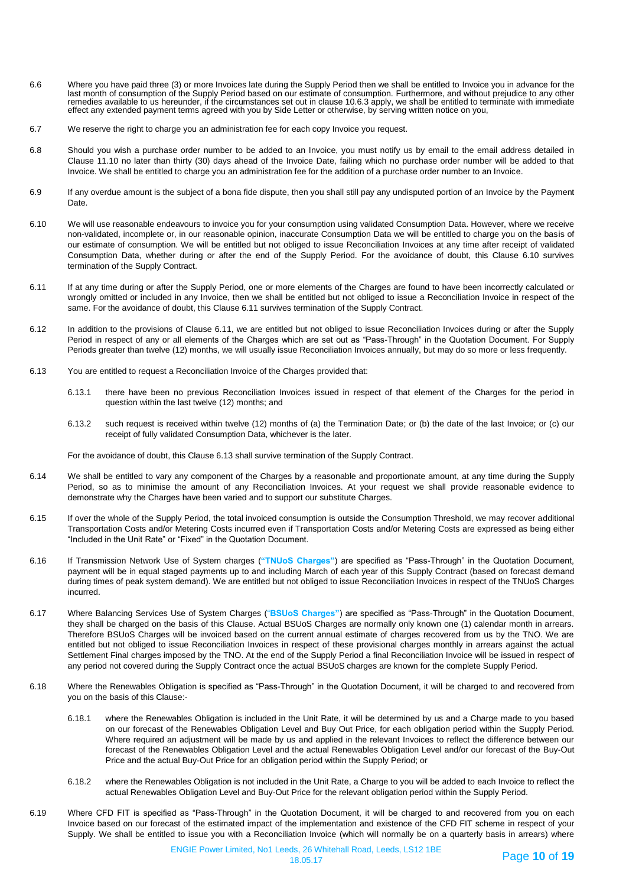- 6.6 Where you have paid three (3) or more Invoices late during the Supply Period then we shall be entitled to Invoice you in advance for the last month of consumption of the Supply Period based on our estimate of consumption. Furthermore, and without prejudice to any other remedies available to us hereunder, if the circumstances set out in clause 10.6.3 apply, we shall be entitled to terminate with immediate effect any extended payment terms agreed with you by Side Letter or otherwise, by serving written notice on you,
- 6.7 We reserve the right to charge you an administration fee for each copy Invoice you request.
- 6.8 Should you wish a purchase order number to be added to an Invoice, you must notify us by email to the email address detailed in Clause 11.10 no later than thirty (30) days ahead of the Invoice Date, failing which no purchase order number will be added to that Invoice. We shall be entitled to charge you an administration fee for the addition of a purchase order number to an Invoice.
- 6.9 If any overdue amount is the subject of a bona fide dispute, then you shall still pay any undisputed portion of an Invoice by the Payment Date.
- 6.10 We will use reasonable endeavours to invoice you for your consumption using validated Consumption Data. However, where we receive non-validated, incomplete or, in our reasonable opinion, inaccurate Consumption Data we will be entitled to charge you on the basis of our estimate of consumption. We will be entitled but not obliged to issue Reconciliation Invoices at any time after receipt of validated Consumption Data, whether during or after the end of the Supply Period. For the avoidance of doubt, this Clause 6.10 survives termination of the Supply Contract.
- 6.11 If at any time during or after the Supply Period, one or more elements of the Charges are found to have been incorrectly calculated or wrongly omitted or included in any Invoice, then we shall be entitled but not obliged to issue a Reconciliation Invoice in respect of the same. For the avoidance of doubt, this Clause 6.11 survives termination of the Supply Contract.
- 6.12 In addition to the provisions of Clause 6.11, we are entitled but not obliged to issue Reconciliation Invoices during or after the Supply Period in respect of any or all elements of the Charges which are set out as "Pass-Through" in the Quotation Document. For Supply Periods greater than twelve (12) months, we will usually issue Reconciliation Invoices annually, but may do so more or less frequently.
- 6.13 You are entitled to request a Reconciliation Invoice of the Charges provided that:
	- 6.13.1 there have been no previous Reconciliation Invoices issued in respect of that element of the Charges for the period in question within the last twelve (12) months; and
	- 6.13.2 such request is received within twelve (12) months of (a) the Termination Date; or (b) the date of the last Invoice; or (c) our receipt of fully validated Consumption Data, whichever is the later.

For the avoidance of doubt, this Clause 6.13 shall survive termination of the Supply Contract.

- 6.14 We shall be entitled to vary any component of the Charges by a reasonable and proportionate amount, at any time during the Supply Period, so as to minimise the amount of any Reconciliation Invoices. At your request we shall provide reasonable evidence to demonstrate why the Charges have been varied and to support our substitute Charges.
- 6.15 If over the whole of the Supply Period, the total invoiced consumption is outside the Consumption Threshold, we may recover additional Transportation Costs and/or Metering Costs incurred even if Transportation Costs and/or Metering Costs are expressed as being either "Included in the Unit Rate" or "Fixed" in the Quotation Document.
- 6.16 If Transmission Network Use of System charges (**"TNUoS Charges"**) are specified as "Pass-Through" in the Quotation Document, payment will be in equal staged payments up to and including March of each year of this Supply Contract (based on forecast demand during times of peak system demand). We are entitled but not obliged to issue Reconciliation Invoices in respect of the TNUoS Charges incurred.
- 6.17 Where Balancing Services Use of System Charges ("**BSUoS Charges"**) are specified as "Pass-Through" in the Quotation Document, they shall be charged on the basis of this Clause. Actual BSUoS Charges are normally only known one (1) calendar month in arrears. Therefore BSUoS Charges will be invoiced based on the current annual estimate of charges recovered from us by the TNO. We are entitled but not obliged to issue Reconciliation Invoices in respect of these provisional charges monthly in arrears against the actual Settlement Final charges imposed by the TNO. At the end of the Supply Period a final Reconciliation Invoice will be issued in respect of any period not covered during the Supply Contract once the actual BSUoS charges are known for the complete Supply Period.
- 6.18 Where the Renewables Obligation is specified as "Pass-Through" in the Quotation Document, it will be charged to and recovered from you on the basis of this Clause:-
	- 6.18.1 where the Renewables Obligation is included in the Unit Rate, it will be determined by us and a Charge made to you based on our forecast of the Renewables Obligation Level and Buy Out Price, for each obligation period within the Supply Period. Where required an adjustment will be made by us and applied in the relevant Invoices to reflect the difference between our forecast of the Renewables Obligation Level and the actual Renewables Obligation Level and/or our forecast of the Buy-Out Price and the actual Buy-Out Price for an obligation period within the Supply Period; or
	- 6.18.2 where the Renewables Obligation is not included in the Unit Rate, a Charge to you will be added to each Invoice to reflect the actual Renewables Obligation Level and Buy-Out Price for the relevant obligation period within the Supply Period.
- 6.19 Where CFD FIT is specified as "Pass-Through" in the Quotation Document, it will be charged to and recovered from you on each Invoice based on our forecast of the estimated impact of the implementation and existence of the CFD FIT scheme in respect of your Supply. We shall be entitled to issue you with a Reconciliation Invoice (which will normally be on a quarterly basis in arrears) where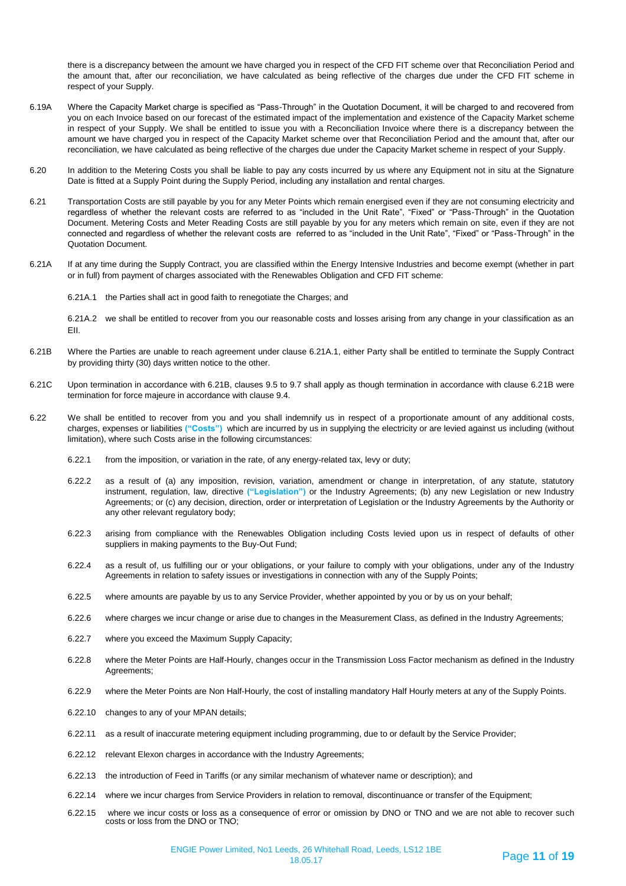there is a discrepancy between the amount we have charged you in respect of the CFD FIT scheme over that Reconciliation Period and the amount that, after our reconciliation, we have calculated as being reflective of the charges due under the CFD FIT scheme in respect of your Supply.

- 6.19A Where the Capacity Market charge is specified as "Pass-Through" in the Quotation Document, it will be charged to and recovered from you on each Invoice based on our forecast of the estimated impact of the implementation and existence of the Capacity Market scheme in respect of your Supply. We shall be entitled to issue you with a Reconciliation Invoice where there is a discrepancy between the amount we have charged you in respect of the Capacity Market scheme over that Reconciliation Period and the amount that, after our reconciliation, we have calculated as being reflective of the charges due under the Capacity Market scheme in respect of your Supply.
- 6.20 In addition to the Metering Costs you shall be liable to pay any costs incurred by us where any Equipment not in situ at the Signature Date is fitted at a Supply Point during the Supply Period, including any installation and rental charges.
- 6.21 Transportation Costs are still payable by you for any Meter Points which remain energised even if they are not consuming electricity and regardless of whether the relevant costs are referred to as "included in the Unit Rate", "Fixed" or "Pass-Through" in the Quotation Document. Metering Costs and Meter Reading Costs are still payable by you for any meters which remain on site, even if they are not connected and regardless of whether the relevant costs are referred to as "included in the Unit Rate", "Fixed" or "Pass-Through" in the Quotation Document.
- 6.21A If at any time during the Supply Contract, you are classified within the Energy Intensive Industries and become exempt (whether in part or in full) from payment of charges associated with the Renewables Obligation and CFD FIT scheme:

6.21A.1 the Parties shall act in good faith to renegotiate the Charges; and

6.21A.2 we shall be entitled to recover from you our reasonable costs and losses arising from any change in your classification as an EII.

- 6.21B Where the Parties are unable to reach agreement under clause 6.21A.1, either Party shall be entitled to terminate the Supply Contract by providing thirty (30) days written notice to the other.
- 6.21C Upon termination in accordance with 6.21B, clauses 9.5 to 9.7 shall apply as though termination in accordance with clause 6.21B were termination for force majeure in accordance with clause 9.4.
- 6.22 We shall be entitled to recover from you and you shall indemnify us in respect of a proportionate amount of any additional costs, charges, expenses or liabilities **("Costs")** which are incurred by us in supplying the electricity or are levied against us including (without limitation), where such Costs arise in the following circumstances:
	- 6.22.1 from the imposition, or variation in the rate, of any energy-related tax, levy or duty;
	- 6.22.2 as a result of (a) any imposition, revision, variation, amendment or change in interpretation, of any statute, statutory instrument, regulation, law, directive **("Legislation")** or the Industry Agreements; (b) any new Legislation or new Industry Agreements; or (c) any decision, direction, order or interpretation of Legislation or the Industry Agreements by the Authority or any other relevant regulatory body;
	- 6.22.3 arising from compliance with the Renewables Obligation including Costs levied upon us in respect of defaults of other suppliers in making payments to the Buy-Out Fund;
	- 6.22.4 as a result of, us fulfilling our or your obligations, or your failure to comply with your obligations, under any of the Industry Agreements in relation to safety issues or investigations in connection with any of the Supply Points;
	- 6.22.5 where amounts are payable by us to any Service Provider, whether appointed by you or by us on your behalf;
	- 6.22.6 where charges we incur change or arise due to changes in the Measurement Class, as defined in the Industry Agreements;
	- 6.22.7 where you exceed the Maximum Supply Capacity;
	- 6.22.8 where the Meter Points are Half-Hourly, changes occur in the Transmission Loss Factor mechanism as defined in the Industry Agreements;
	- 6.22.9 where the Meter Points are Non Half-Hourly, the cost of installing mandatory Half Hourly meters at any of the Supply Points.
	- 6.22.10 changes to any of your MPAN details;
	- 6.22.11 as a result of inaccurate metering equipment including programming, due to or default by the Service Provider;
	- 6.22.12 relevant Elexon charges in accordance with the Industry Agreements;
	- 6.22.13 the introduction of Feed in Tariffs (or any similar mechanism of whatever name or description); and
	- 6.22.14 where we incur charges from Service Providers in relation to removal, discontinuance or transfer of the Equipment;
	- 6.22.15 where we incur costs or loss as a consequence of error or omission by DNO or TNO and we are not able to recover such costs or loss from the DNO or TNO;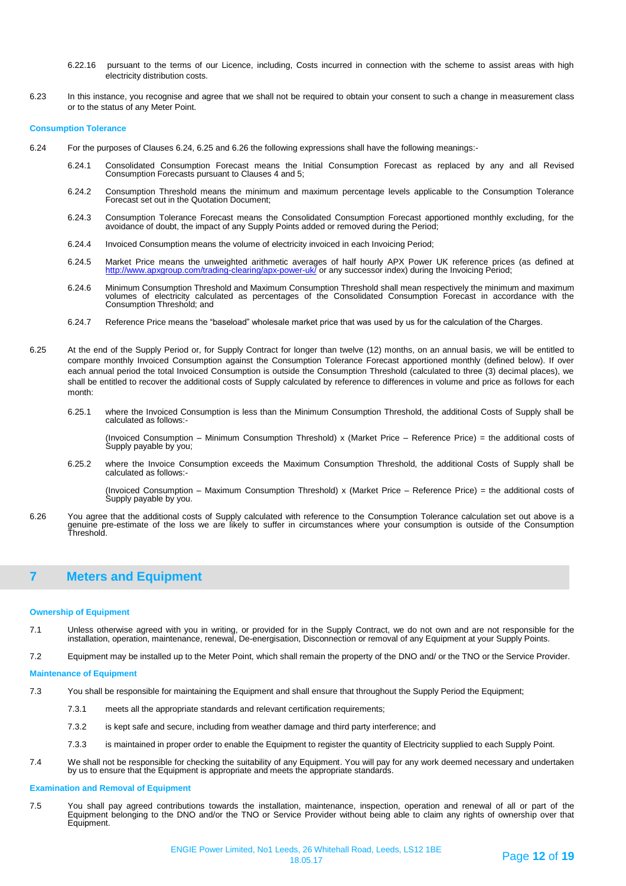- 6.22.16 pursuant to the terms of our Licence, including, Costs incurred in connection with the scheme to assist areas with high electricity distribution costs.
- 6.23 In this instance, you recognise and agree that we shall not be required to obtain your consent to such a change in measurement class or to the status of any Meter Point.

#### **Consumption Tolerance**

- 6.24 For the purposes of Clauses 6.24, 6.25 and 6.26 the following expressions shall have the following meanings:-
	- 6.24.1 Consolidated Consumption Forecast means the Initial Consumption Forecast as replaced by any and all Revised Consumption Forecasts pursuant to Clauses 4 and 5;
	- 6.24.2 Consumption Threshold means the minimum and maximum percentage levels applicable to the Consumption Tolerance Forecast set out in the Quotation Document;
	- 6.24.3 Consumption Tolerance Forecast means the Consolidated Consumption Forecast apportioned monthly excluding, for the avoidance of doubt, the impact of any Supply Points added or removed during the Period;
	- 6.24.4 Invoiced Consumption means the volume of electricity invoiced in each Invoicing Period;
	- 6.24.5 Market Price means the unweighted arithmetic averages of half hourly APX Power UK reference prices (as defined at <http://www.apxgroup.com/trading-clearing/apx-power-uk/> or any successor index) during the Invoicing Period;
	- 6.24.6 Minimum Consumption Threshold and Maximum Consumption Threshold shall mean respectively the minimum and maximum volumes of electricity calculated as percentages of the Consolidated Consumption Forecast in accordance with the Consumption Threshold; and
	- 6.24.7 Reference Price means the "baseload" wholesale market price that was used by us for the calculation of the Charges.
- 6.25 At the end of the Supply Period or, for Supply Contract for longer than twelve (12) months, on an annual basis, we will be entitled to compare monthly Invoiced Consumption against the Consumption Tolerance Forecast apportioned monthly (defined below). If over each annual period the total Invoiced Consumption is outside the Consumption Threshold (calculated to three (3) decimal places), we shall be entitled to recover the additional costs of Supply calculated by reference to differences in volume and price as follows for each month:
	- 6.25.1 where the Invoiced Consumption is less than the Minimum Consumption Threshold, the additional Costs of Supply shall be calculated as follows:-

(Invoiced Consumption – Minimum Consumption Threshold) x (Market Price – Reference Price) = the additional costs of Supply payable by you;

6.25.2 where the Invoice Consumption exceeds the Maximum Consumption Threshold, the additional Costs of Supply shall be calculated as follows:-

(Invoiced Consumption – Maximum Consumption Threshold) x (Market Price – Reference Price) = the additional costs of Supply payable by you.

6.26 You agree that the additional costs of Supply calculated with reference to the Consumption Tolerance calculation set out above is a genuine pre-estimate of the loss we are likely to suffer in circumstances where your consumption is outside of the Consumption Threshold.

# **7 Meters and Equipment**

#### **Ownership of Equipment**

- 7.1 Unless otherwise agreed with you in writing, or provided for in the Supply Contract, we do not own and are not responsible for the installation, operation, maintenance, renewal, De-energisation, Disconnection or removal of any Equipment at your Supply Points.
- 7.2 Equipment may be installed up to the Meter Point, which shall remain the property of the DNO and/ or the TNO or the Service Provider.

#### **Maintenance of Equipment**

- 7.3 You shall be responsible for maintaining the Equipment and shall ensure that throughout the Supply Period the Equipment;
	- 7.3.1 meets all the appropriate standards and relevant certification requirements;
	- 7.3.2 is kept safe and secure, including from weather damage and third party interference; and
	- 7.3.3 is maintained in proper order to enable the Equipment to register the quantity of Electricity supplied to each Supply Point.
- 7.4 We shall not be responsible for checking the suitability of any Equipment. You will pay for any work deemed necessary and undertaken by us to ensure that the Equipment is appropriate and meets the appropriate standards.

#### **Examination and Removal of Equipment**

7.5 You shall pay agreed contributions towards the installation, maintenance, inspection, operation and renewal of all or part of the Equipment belonging to the DNO and/or the TNO or Service Provider without being able to claim any rights of ownership over that Equipment.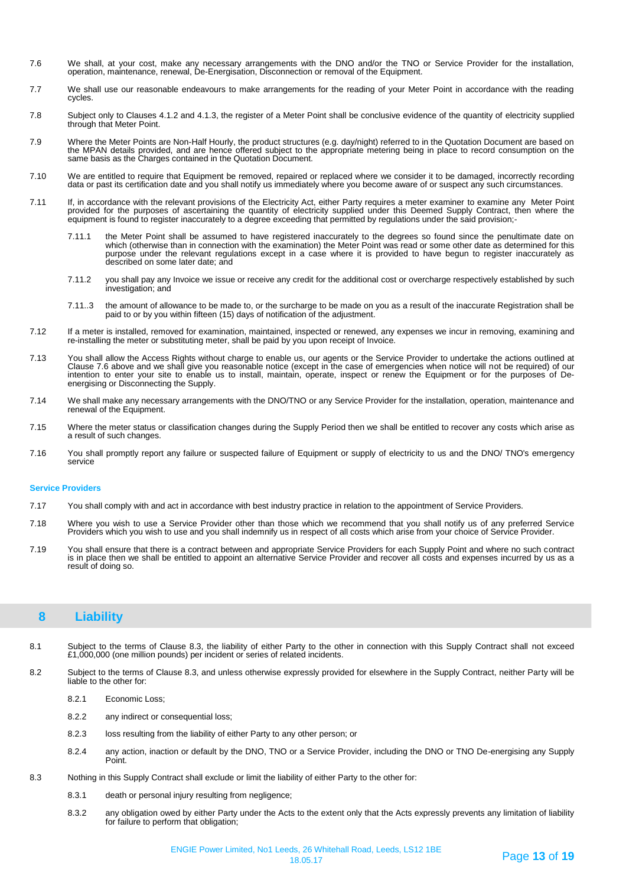- 7.6 We shall, at your cost, make any necessary arrangements with the DNO and/or the TNO or Service Provider for the installation, operation, maintenance, renewal, De-Energisation, Disconnection or removal of the Equipment.
- 7.7 We shall use our reasonable endeavours to make arrangements for the reading of your Meter Point in accordance with the reading cycles.
- 7.8 Subject only to Clauses 4.1.2 and 4.1.3, the register of a Meter Point shall be conclusive evidence of the quantity of electricity supplied through that Meter Point.
- 7.9 Where the Meter Points are Non-Half Hourly, the product structures (e.g. day/night) referred to in the Quotation Document are based on the MPAN details provided, and are hence offered subject to the appropriate metering being in place to record consumption on the same basis as the Charges contained in the Quotation Document.
- 7.10 We are entitled to require that Equipment be removed, repaired or replaced where we consider it to be damaged, incorrectly recording data or past its certification date and you shall notify us immediately where you become aware of or suspect any such circumstances.
- 7.11 If, in accordance with the relevant provisions of the Electricity Act, either Party requires a meter examiner to examine any Meter Point provided for the purposes of ascertaining the quantity of electricity supplied under this Deemed Supply Contract, then where the<br>equipment is found to register inaccurately to a degree exceeding that permitted by regulatio
	- 7.11.1 the Meter Point shall be assumed to have registered inaccurately to the degrees so found since the penultimate date on which (otherwise than in connection with the examination) the Meter Point was read or some other date as determined for this purpose under the relevant regulations except in a case where it is provided to have begun to register inaccurately as described on some later date; and
	- 7.11.2 you shall pay any Invoice we issue or receive any credit for the additional cost or overcharge respectively established by such investigation; and
	- 7.11..3 the amount of allowance to be made to, or the surcharge to be made on you as a result of the inaccurate Registration shall be paid to or by you within fifteen (15) days of notification of the adjustment.
- 7.12 If a meter is installed, removed for examination, maintained, inspected or renewed, any expenses we incur in removing, examining and re-installing the meter or substituting meter, shall be paid by you upon receipt of Invoice.
- 7.13 You shall allow the Access Rights without charge to enable us, our agents or the Service Provider to undertake the actions outlined at Clause 7.6 above and we shall give you reasonable notice (except in the case of emergencies when notice will not be required) of our intention to enter your site to enable us to install, maintain, operate, inspect or renew the Equipment or for the purposes of Deenergising or Disconnecting the Supply.
- 7.14 We shall make any necessary arrangements with the DNO/TNO or any Service Provider for the installation, operation, maintenance and renewal of the Equipment.
- 7.15 Where the meter status or classification changes during the Supply Period then we shall be entitled to recover any costs which arise as a result of such changes.
- 7.16 You shall promptly report any failure or suspected failure of Equipment or supply of electricity to us and the DNO/ TNO's emergency service

### **Service Providers**

- 7.17 You shall comply with and act in accordance with best industry practice in relation to the appointment of Service Providers.
- 7.18 Where you wish to use a Service Provider other than those which we recommend that you shall notify us of any preferred Service Providers which you wish to use and you shall indemnify us in respect of all costs which arise from your choice of Service Provider.
- 7.19 You shall ensure that there is a contract between and appropriate Service Providers for each Supply Point and where no such contract is in place then we shall be entitled to appoint an alternative Service Provider and recover all costs and expenses incurred by us as a result of doing so.

# **8 Liability**

- 8.1 Subject to the terms of Clause 8.3, the liability of either Party to the other in connection with this Supply Contract shall not exceed £1,000,000 (one million pounds) per incident or series of related incidents.
- 8.2 Subject to the terms of Clause 8.3, and unless otherwise expressly provided for elsewhere in the Supply Contract, neither Party will be liable to the other for:
	- 8.2.1 Economic Loss;
	- 8.2.2 any indirect or consequential loss;
	- 8.2.3 loss resulting from the liability of either Party to any other person; or
	- 8.2.4 any action, inaction or default by the DNO, TNO or a Service Provider, including the DNO or TNO De-energising any Supply Point.
- 8.3 Nothing in this Supply Contract shall exclude or limit the liability of either Party to the other for:
	- 8.3.1 death or personal injury resulting from negligence;
	- 8.3.2 any obligation owed by either Party under the Acts to the extent only that the Acts expressly prevents any limitation of liability for failure to perform that obligation;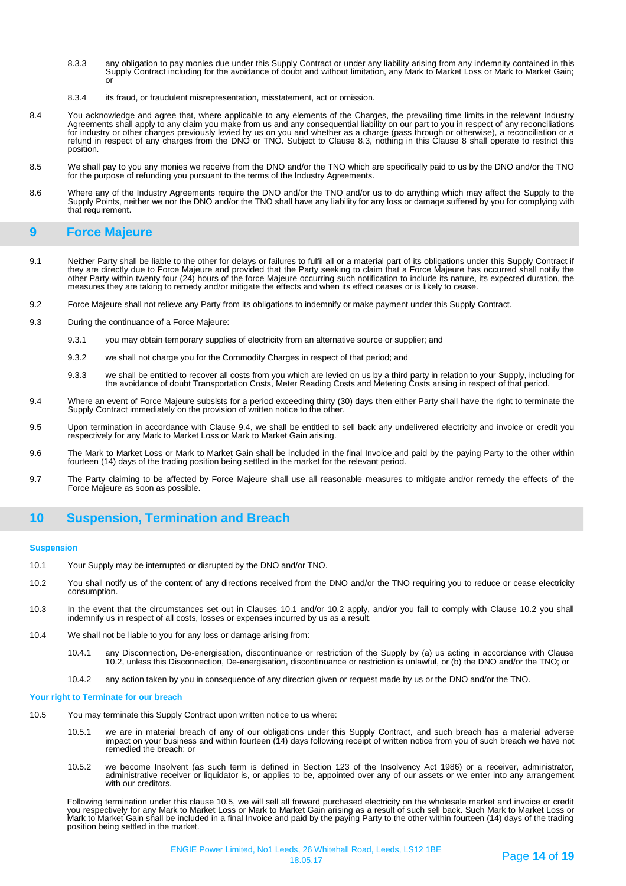- 8.3.3 any obligation to pay monies due under this Supply Contract or under any liability arising from any indemnity contained in this Supply Contract including for the avoidance of doubt and without limitation, any Mark to Market Loss or Mark to Market Gain; or
- 8.3.4 its fraud, or fraudulent misrepresentation, misstatement, act or omission.
- 8.4 You acknowledge and agree that, where applicable to any elements of the Charges, the prevailing time limits in the relevant Industry Agreements shall apply to any claim you make from us and any consequential liability on our part to you in respect of any reconciliations for industry or other charges previously levied by us on you and whether as a charge (pass through or otherwise), a reconciliation or a<br>refund in respect of any charges from the DNO or TNO. Subject to Clause 8.3, nothing i position.
- 8.5 We shall pay to you any monies we receive from the DNO and/or the TNO which are specifically paid to us by the DNO and/or the TNO for the purpose of refunding you pursuant to the terms of the Industry Agreements.
- 8.6 Where any of the Industry Agreements require the DNO and/or the TNO and/or us to do anything which may affect the Supply to the Supply Points, neither we nor the DNO and/or the TNO shall have any liability for any loss or damage suffered by you for complying with that requirement.

# **9 Force Majeure**

- 9.1 Neither Party shall be liable to the other for delays or failures to fulfil all or a material part of its obligations under this Supply Contract if they are directly due to Force Majeure and provided that the Party seeking to claim that a Force Majeure has occurred shall notify the other Party within twenty four (24) hours of the force Majeure occurring such notification to include its nature, its expected duration, the<br>measures they are taking to remedy and/or mitigate the effects and when its effec
- 9.2 Force Majeure shall not relieve any Party from its obligations to indemnify or make payment under this Supply Contract.
- 9.3 During the continuance of a Force Majeure:
	- 9.3.1 you may obtain temporary supplies of electricity from an alternative source or supplier; and
	- 9.3.2 we shall not charge you for the Commodity Charges in respect of that period; and
	- 9.3.3 we shall be entitled to recover all costs from you which are levied on us by a third party in relation to your Supply, including for the avoidance of doubt Transportation Costs, Meter Reading Costs and Metering Costs arising in respect of that period.
- 9.4 Where an event of Force Majeure subsists for a period exceeding thirty (30) days then either Party shall have the right to terminate the Supply Contract immediately on the provision of written notice to the other.
- 9.5 Upon termination in accordance with Clause 9.4, we shall be entitled to sell back any undelivered electricity and invoice or credit you respectively for any Mark to Market Loss or Mark to Market Gain arising.
- 9.6 The Mark to Market Loss or Mark to Market Gain shall be included in the final Invoice and paid by the paying Party to the other within fourteen (14) days of the trading position being settled in the market for the relevant period.
- 9.7 The Party claiming to be affected by Force Majeure shall use all reasonable measures to mitigate and/or remedy the effects of the Force Majeure as soon as possible.

# **10 Suspension, Termination and Breach**

#### **Suspension**

- 10.1 Your Supply may be interrupted or disrupted by the DNO and/or TNO.
- 10.2 You shall notify us of the content of any directions received from the DNO and/or the TNO requiring you to reduce or cease electricity consumption.
- 10.3 In the event that the circumstances set out in Clauses 10.1 and/or 10.2 apply, and/or you fail to comply with Clause 10.2 you shall indemnify us in respect of all costs, losses or expenses incurred by us as a result.
- 10.4 We shall not be liable to you for any loss or damage arising from:
	- 10.4.1 any Disconnection, De-energisation, discontinuance or restriction of the Supply by (a) us acting in accordance with Clause 10.2, unless this Disconnection, De-energisation, discontinuance or restriction is unlawful, or (b) the DNO and/or the TNO; or
	- 10.4.2 any action taken by you in consequence of any direction given or request made by us or the DNO and/or the TNO.

#### **Your right to Terminate for our breach**

- 10.5 You may terminate this Supply Contract upon written notice to us where:
	- 10.5.1 we are in material breach of any of our obligations under this Supply Contract, and such breach has a material adverse impact on your business and within fourteen (14) days following receipt of written notice from you of such breach we have not remedied the breach; or
	- 10.5.2 we become Insolvent (as such term is defined in Section 123 of the Insolvency Act 1986) or a receiver, administrator, administrative receiver or liquidator is, or applies to be, appointed over any of our assets or we enter into any arrangement with our creditors.

Following termination under this clause 10.5, we will sell all forward purchased electricity on the wholesale market and invoice or credit<br>you respectively for any Mark to Market Loss or Mark to Market Gain arising as a re Mark to Market Gain shall be included in a final Invoice and paid by the paying Party to the other within fourteen (14) days of the trading position being settled in the market.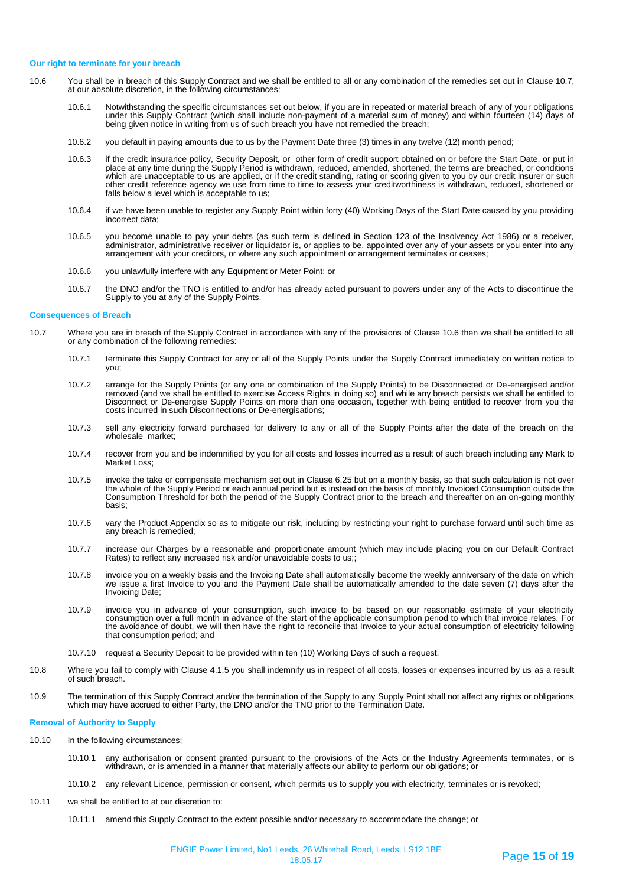#### **Our right to terminate for your breach**

- 10.6 You shall be in breach of this Supply Contract and we shall be entitled to all or any combination of the remedies set out in Clause 10.7, at our absolute discretion, in the following circumstances:
	- 10.6.1 Notwithstanding the specific circumstances set out below, if you are in repeated or material breach of any of your obligations under this Supply Contract (which shall include non-payment of a material sum of money) and within fourteen (14) days of being given notice in writing from us of such breach you have not remedied the breach;
	- 10.6.2 you default in paying amounts due to us by the Payment Date three (3) times in any twelve (12) month period;
	- 10.6.3 if the credit insurance policy, Security Deposit, or other form of credit support obtained on or before the Start Date, or put in place at any time during the Supply Period is withdrawn, reduced, amended, shortened, the terms are breached, or conditions which are unacceptable to us are applied, or if the credit standing, rating or scoring given to you by our credit insurer or such other credit reference agency we use from time to time to assess your creditworthiness is withdrawn, reduced, shortened or falls below a level which is acceptable to us;
	- 10.6.4 if we have been unable to register any Supply Point within forty (40) Working Days of the Start Date caused by you providing incorrect data;
	- 10.6.5 you become unable to pay your debts (as such term is defined in Section 123 of the Insolvency Act 1986) or a receiver, administrator, administrative receiver or liquidator is, or applies to be, appointed over any of your assets or you enter into any arrangement with your creditors, or where any such appointment or arrangement terminates or ceases;
	- 10.6.6 you unlawfully interfere with any Equipment or Meter Point; or
	- 10.6.7 the DNO and/or the TNO is entitled to and/or has already acted pursuant to powers under any of the Acts to discontinue the Supply to you at any of the Supply Points.

#### **Consequences of Breach**

- 10.7 Where you are in breach of the Supply Contract in accordance with any of the provisions of Clause 10.6 then we shall be entitled to all or any combination of the following remedies:
	- 10.7.1 terminate this Supply Contract for any or all of the Supply Points under the Supply Contract immediately on written notice to you;
	- 10.7.2 arrange for the Supply Points (or any one or combination of the Supply Points) to be Disconnected or De-energised and/or removed (and we shall be entitled to exercise Access Rights in doing so) and while any breach persists we shall be entitled to Disconnect or De-energise Supply Points on more than one occasion, together with being entitled to recover from you the costs incurred in such Disconnections or De-energisations;
	- 10.7.3 sell any electricity forward purchased for delivery to any or all of the Supply Points after the date of the breach on the wholesale market;
	- 10.7.4 recover from you and be indemnified by you for all costs and losses incurred as a result of such breach including any Mark to Market Loss;
	- 10.7.5 invoke the take or compensate mechanism set out in Clause 6.25 but on a monthly basis, so that such calculation is not over the whole of the Supply Period or each annual period but is instead on the basis of monthly Invoiced Consumption outside the Consumption Threshold for both the period of the Supply Contract prior to the breach and thereafter on an on-going monthly basis;
	- 10.7.6 vary the Product Appendix so as to mitigate our risk, including by restricting your right to purchase forward until such time as any breach is remedied;
	- 10.7.7 increase our Charges by a reasonable and proportionate amount (which may include placing you on our Default Contract Rates) to reflect any increased risk and/or unavoidable costs to us;;
	- 10.7.8 invoice you on a weekly basis and the Invoicing Date shall automatically become the weekly anniversary of the date on which we issue a first Invoice to you and the Payment Date shall be automatically amended to the date seven (7) days after the Invoicing Date;
	- 10.7.9 invoice you in advance of your consumption, such invoice to be based on our reasonable estimate of your electricity consumption over a full month in advance of the start of the applicable consumption period to which that invoice relates. For the avoidance of doubt, we will then have the right to reconcile that Invoice to your actual consumption of electricity following that consumption period; and
	- 10.7.10 request a Security Deposit to be provided within ten (10) Working Days of such a request.
- 10.8 Where you fail to comply with Clause 4.1.5 you shall indemnify us in respect of all costs, losses or expenses incurred by us as a result of such breach.
- 10.9 The termination of this Supply Contract and/or the termination of the Supply to any Supply Point shall not affect any rights or obligations which may have accrued to either Party, the DNO and/or the TNO prior to the Termination Date.

#### **Removal of Authority to Supply**

- 10.10 In the following circumstances;
	- 10.10.1 any authorisation or consent granted pursuant to the provisions of the Acts or the Industry Agreements terminates, or is withdrawn, or is amended in a manner that materially affects our ability to perform our obligations; or
	- 10.10.2 any relevant Licence, permission or consent, which permits us to supply you with electricity, terminates or is revoked;
- 10.11 we shall be entitled to at our discretion to:
	- 10.11.1 amend this Supply Contract to the extent possible and/or necessary to accommodate the change; or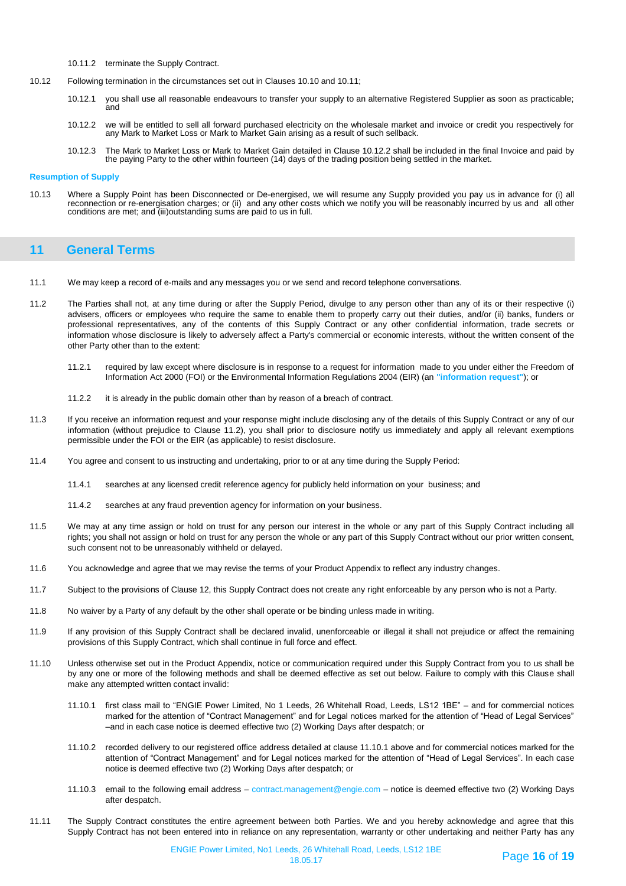- 10.11.2 terminate the Supply Contract.
- 10.12 Following termination in the circumstances set out in Clauses 10.10 and 10.11;
	- 10.12.1 you shall use all reasonable endeavours to transfer your supply to an alternative Registered Supplier as soon as practicable; and
	- 10.12.2 we will be entitled to sell all forward purchased electricity on the wholesale market and invoice or credit you respectively for any Mark to Market Loss or Mark to Market Gain arising as a result of such sellback.
	- 10.12.3 The Mark to Market Loss or Mark to Market Gain detailed in Clause 10.12.2 shall be included in the final Invoice and paid by the paying Party to the other within fourteen (14) days of the trading position being settled in the market.

#### **Resumption of Supply**

10.13 Where a Supply Point has been Disconnected or De-energised, we will resume any Supply provided you pay us in advance for (i) all reconnection or re-energisation charges; or (ii) and any other costs which we notify you will be reasonably incurred by us and all other conditions are met; and (iii)outstanding sums are paid to us in full.

# **11 General Terms**

- 11.1 We may keep a record of e-mails and any messages you or we send and record telephone conversations.
- 11.2 The Parties shall not, at any time during or after the Supply Period, divulge to any person other than any of its or their respective (i) advisers, officers or employees who require the same to enable them to properly carry out their duties, and/or (ii) banks, funders or professional representatives, any of the contents of this Supply Contract or any other confidential information, trade secrets or information whose disclosure is likely to adversely affect a Party's commercial or economic interests, without the written consent of the other Party other than to the extent:
	- 11.2.1 required by law except where disclosure is in response to a request for information made to you under either the Freedom of Information Act 2000 (FOI) or the Environmental Information Regulations 2004 (EIR) (an **"information request"**); or
	- 11.2.2 it is already in the public domain other than by reason of a breach of contract.
- 11.3 If you receive an information request and your response might include disclosing any of the details of this Supply Contract or any of our information (without prejudice to Clause 11.2), you shall prior to disclosure notify us immediately and apply all relevant exemptions permissible under the FOI or the EIR (as applicable) to resist disclosure.
- 11.4 You agree and consent to us instructing and undertaking, prior to or at any time during the Supply Period:
	- 11.4.1 searches at any licensed credit reference agency for publicly held information on your business; and
	- 11.4.2 searches at any fraud prevention agency for information on your business.
- 11.5 We may at any time assign or hold on trust for any person our interest in the whole or any part of this Supply Contract including all rights; you shall not assign or hold on trust for any person the whole or any part of this Supply Contract without our prior written consent, such consent not to be unreasonably withheld or delayed.
- 11.6 You acknowledge and agree that we may revise the terms of your Product Appendix to reflect any industry changes.
- 11.7 Subject to the provisions of Clause 12, this Supply Contract does not create any right enforceable by any person who is not a Party.
- 11.8 No waiver by a Party of any default by the other shall operate or be binding unless made in writing.
- 11.9 If any provision of this Supply Contract shall be declared invalid, unenforceable or illegal it shall not prejudice or affect the remaining provisions of this Supply Contract, which shall continue in full force and effect.
- 11.10 Unless otherwise set out in the Product Appendix, notice or communication required under this Supply Contract from you to us shall be by any one or more of the following methods and shall be deemed effective as set out below. Failure to comply with this Clause shall make any attempted written contact invalid:
	- 11.10.1 first class mail to "ENGIE Power Limited, No 1 Leeds, 26 Whitehall Road, Leeds, LS12 1BE" and for commercial notices marked for the attention of "Contract Management" and for Legal notices marked for the attention of "Head of Legal Services" –and in each case notice is deemed effective two (2) Working Days after despatch; or
	- 11.10.2 recorded delivery to our registered office address detailed at clause 11.10.1 above and for commercial notices marked for the attention of "Contract Management" and for Legal notices marked for the attention of "Head of Legal Services". In each case notice is deemed effective two (2) Working Days after despatch; or
	- 11.10.3 email to the following email address contract.management@engie.com notice is deemed effective two (2) Working Days after despatch.
- 11.11 The Supply Contract constitutes the entire agreement between both Parties. We and you hereby acknowledge and agree that this Supply Contract has not been entered into in reliance on any representation, warranty or other undertaking and neither Party has any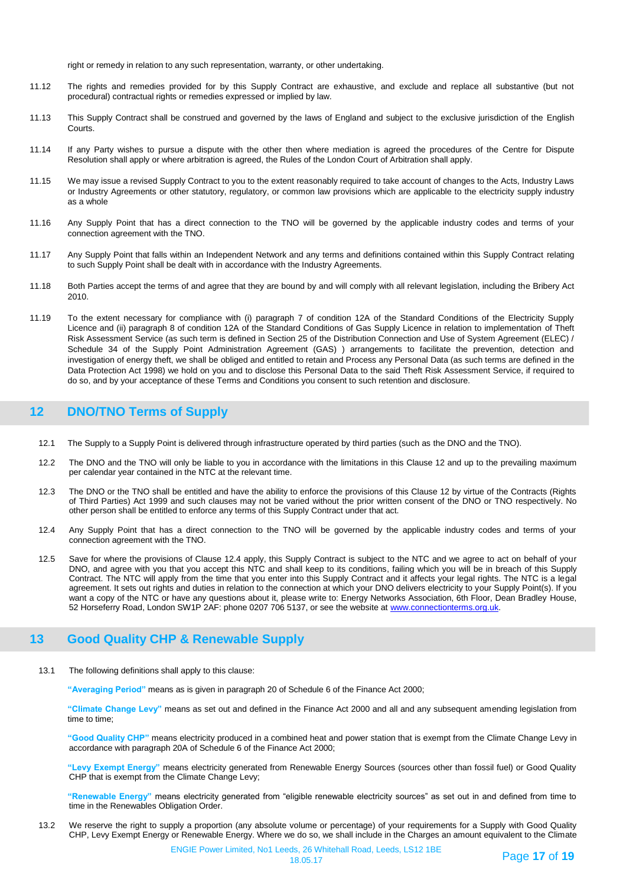right or remedy in relation to any such representation, warranty, or other undertaking.

- 11.12 The rights and remedies provided for by this Supply Contract are exhaustive, and exclude and replace all substantive (but not procedural) contractual rights or remedies expressed or implied by law.
- 11.13 This Supply Contract shall be construed and governed by the laws of England and subject to the exclusive jurisdiction of the English Courts.
- 11.14 If any Party wishes to pursue a dispute with the other then where mediation is agreed the procedures of the Centre for Dispute Resolution shall apply or where arbitration is agreed, the Rules of the London Court of Arbitration shall apply.
- 11.15 We may issue a revised Supply Contract to you to the extent reasonably required to take account of changes to the Acts, Industry Laws or Industry Agreements or other statutory, regulatory, or common law provisions which are applicable to the electricity supply industry as a whole
- 11.16 Any Supply Point that has a direct connection to the TNO will be governed by the applicable industry codes and terms of your connection agreement with the TNO.
- 11.17 Any Supply Point that falls within an Independent Network and any terms and definitions contained within this Supply Contract relating to such Supply Point shall be dealt with in accordance with the Industry Agreements.
- 11.18 Both Parties accept the terms of and agree that they are bound by and will comply with all relevant legislation, including the Bribery Act 2010.
- 11.19 To the extent necessary for compliance with (i) paragraph 7 of condition 12A of the Standard Conditions of the Electricity Supply Licence and (ii) paragraph 8 of condition 12A of the Standard Conditions of Gas Supply Licence in relation to implementation of Theft Risk Assessment Service (as such term is defined in Section 25 of the Distribution Connection and Use of System Agreement (ELEC) / Schedule 34 of the Supply Point Administration Agreement (GAS) ) arrangements to facilitate the prevention, detection and investigation of energy theft, we shall be obliged and entitled to retain and Process any Personal Data (as such terms are defined in the Data Protection Act 1998) we hold on you and to disclose this Personal Data to the said Theft Risk Assessment Service, if required to do so, and by your acceptance of these Terms and Conditions you consent to such retention and disclosure.

# **12 DNO/TNO Terms of Supply**

- 12.1 The Supply to a Supply Point is delivered through infrastructure operated by third parties (such as the DNO and the TNO).
- 12.2 The DNO and the TNO will only be liable to you in accordance with the limitations in this Clause 12 and up to the prevailing maximum per calendar year contained in the NTC at the relevant time.
- 12.3 The DNO or the TNO shall be entitled and have the ability to enforce the provisions of this Clause 12 by virtue of the Contracts (Rights of Third Parties) Act 1999 and such clauses may not be varied without the prior written consent of the DNO or TNO respectively. No other person shall be entitled to enforce any terms of this Supply Contract under that act.
- 12.4 Any Supply Point that has a direct connection to the TNO will be governed by the applicable industry codes and terms of your connection agreement with the TNO.
- 12.5 Save for where the provisions of Clause 12.4 apply, this Supply Contract is subject to the NTC and we agree to act on behalf of your DNO, and agree with you that you accept this NTC and shall keep to its conditions, failing which you will be in breach of this Supply Contract. The NTC will apply from the time that you enter into this Supply Contract and it affects your legal rights. The NTC is a legal agreement. It sets out rights and duties in relation to the connection at which your DNO delivers electricity to your Supply Point(s). If you want a copy of the NTC or have any questions about it, please write to: Energy Networks Association, 6th Floor, Dean Bradley House, 52 Horseferry Road, London SW1P 2AF: phone 0207 706 5137, or see the website at [www.connectionterms.org.uk.](http://www.connectionterms.org.uk/)

# **13 Good Quality CHP & Renewable Supply**

13.1 The following definitions shall apply to this clause:

**"Averaging Period"** means as is given in paragraph 20 of Schedule 6 of the Finance Act 2000;

**"Climate Change Levy"** means as set out and defined in the Finance Act 2000 and all and any subsequent amending legislation from time to time;

**"Good Quality CHP"** means electricity produced in a combined heat and power station that is exempt from the Climate Change Levy in accordance with paragraph 20A of Schedule 6 of the Finance Act 2000;

**"Levy Exempt Energy"** means electricity generated from Renewable Energy Sources (sources other than fossil fuel) or Good Quality CHP that is exempt from the Climate Change Levy;

**"Renewable Energy"** means electricity generated from "eligible renewable electricity sources" as set out in and defined from time to time in the Renewables Obligation Order.

13.2 We reserve the right to supply a proportion (any absolute volume or percentage) of your requirements for a Supply with Good Quality CHP, Levy Exempt Energy or Renewable Energy. Where we do so, we shall include in the Charges an amount equivalent to the Climate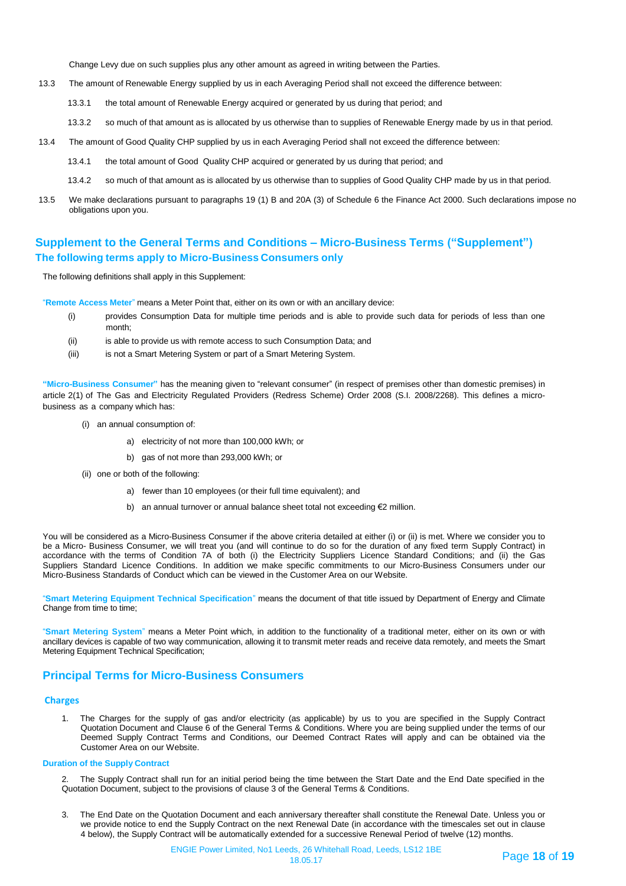Change Levy due on such supplies plus any other amount as agreed in writing between the Parties.

- 13.3 The amount of Renewable Energy supplied by us in each Averaging Period shall not exceed the difference between:
	- 13.3.1 the total amount of Renewable Energy acquired or generated by us during that period; and
	- 13.3.2 so much of that amount as is allocated by us otherwise than to supplies of Renewable Energy made by us in that period.
- 13.4 The amount of Good Quality CHP supplied by us in each Averaging Period shall not exceed the difference between:
	- 13.4.1 the total amount of Good Quality CHP acquired or generated by us during that period; and
	- 13.4.2 so much of that amount as is allocated by us otherwise than to supplies of Good Quality CHP made by us in that period.
- 13.5 We make declarations pursuant to paragraphs 19 (1) B and 20A (3) of Schedule 6 the Finance Act 2000. Such declarations impose no obligations upon you.

# **Supplement to the General Terms and Conditions – Micro-Business Terms ("Supplement") The following terms apply to Micro-Business Consumers only**

The following definitions shall apply in this Supplement:

"**Remote Access Meter**" means a Meter Point that, either on its own or with an ancillary device:

- (i) provides Consumption Data for multiple time periods and is able to provide such data for periods of less than one month;
- (ii) is able to provide us with remote access to such Consumption Data; and
- (iii) is not a Smart Metering System or part of a Smart Metering System.

**"Micro-Business Consumer"** has the meaning given to "relevant consumer" (in respect of premises other than domestic premises) in article 2(1) of The Gas and Electricity Regulated Providers (Redress Scheme) Order 2008 (S.I. 2008/2268). This defines a microbusiness as a company which has:

- (i) an annual consumption of:
	- a) electricity of not more than 100,000 kWh; or
	- b) gas of not more than 293,000 kWh; or
- (ii) one or both of the following:
	- a) fewer than 10 employees (or their full time equivalent); and
	- b) an annual turnover or annual balance sheet total not exceeding €2 million.

You will be considered as a Micro-Business Consumer if the above criteria detailed at either (i) or (ii) is met. Where we consider you to be a Micro- Business Consumer, we will treat you (and will continue to do so for the duration of any fixed term Supply Contract) in accordance with the terms of Condition 7A of both (i) the Electricity Suppliers Licence Standard Conditions; and (ii) the Gas Suppliers Standard Licence Conditions. In addition we make specific commitments to our Micro-Business Consumers under our Micro-Business Standards of Conduct which can be viewed in the Customer Area on our Website.

"**Smart Metering Equipment Technical Specification**" means the document of that title issued by Department of Energy and Climate Change from time to time;

"**Smart Metering System**" means a Meter Point which, in addition to the functionality of a traditional meter, either on its own or with ancillary devices is capable of two way communication, allowing it to transmit meter reads and receive data remotely, and meets the Smart Metering Equipment Technical Specification;

### **Principal Terms for Micro-Business Consumers**

### **Charges**

1. The Charges for the supply of gas and/or electricity (as applicable) by us to you are specified in the Supply Contract Quotation Document and Clause 6 of the General Terms & Conditions. Where you are being supplied under the terms of our Deemed Supply Contract Terms and Conditions, our Deemed Contract Rates will apply and can be obtained via the Customer Area on our Website.

#### **Duration of the Supply Contract**

The Supply Contract shall run for an initial period being the time between the Start Date and the End Date specified in the Quotation Document, subject to the provisions of clause 3 of the General Terms & Conditions.

3. The End Date on the Quotation Document and each anniversary thereafter shall constitute the Renewal Date. Unless you or we provide notice to end the Supply Contract on the next Renewal Date (in accordance with the timescales set out in clause 4 below), the Supply Contract will be automatically extended for a successive Renewal Period of twelve (12) months.